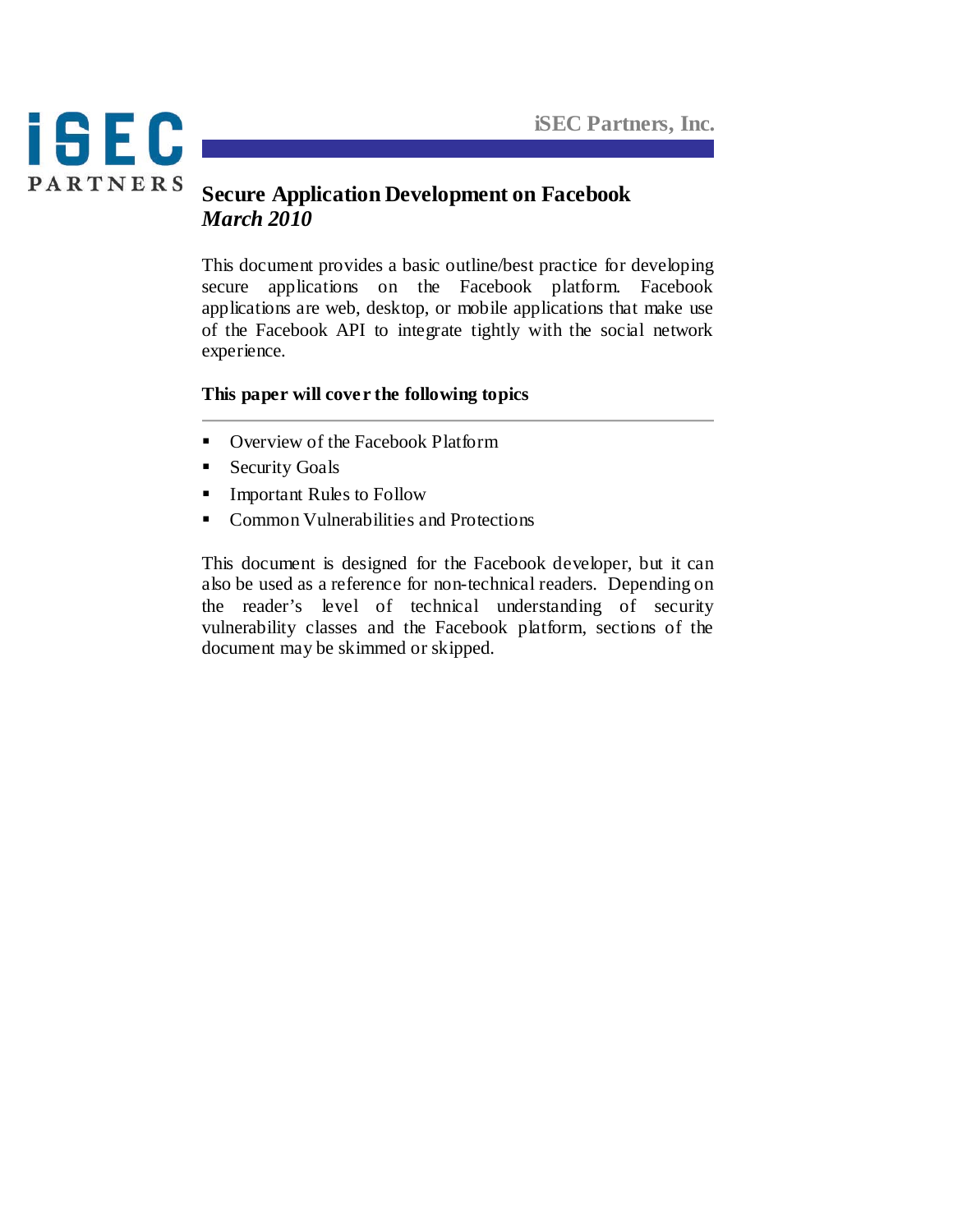

## **Secure Application Development on Facebook** *March 2010*

This document provides a basic outline/best practice for developing secure applications on the Facebook platform. Facebook applications are web, desktop, or mobile applications that make use of the Facebook API to integrate tightly with the social network experience.

## **This paper will cover the following topics**

- Overview of the Facebook Platform
- **Security Goals**
- **Important Rules to Follow**
- Common Vulnerabilities and Protections

This document is designed for the Facebook developer, but it can also be used as a reference for non-technical readers. Depending on the reader's level of technical understanding of security vulnerability classes and the Facebook platform, sections of the document may be skimmed or skipped.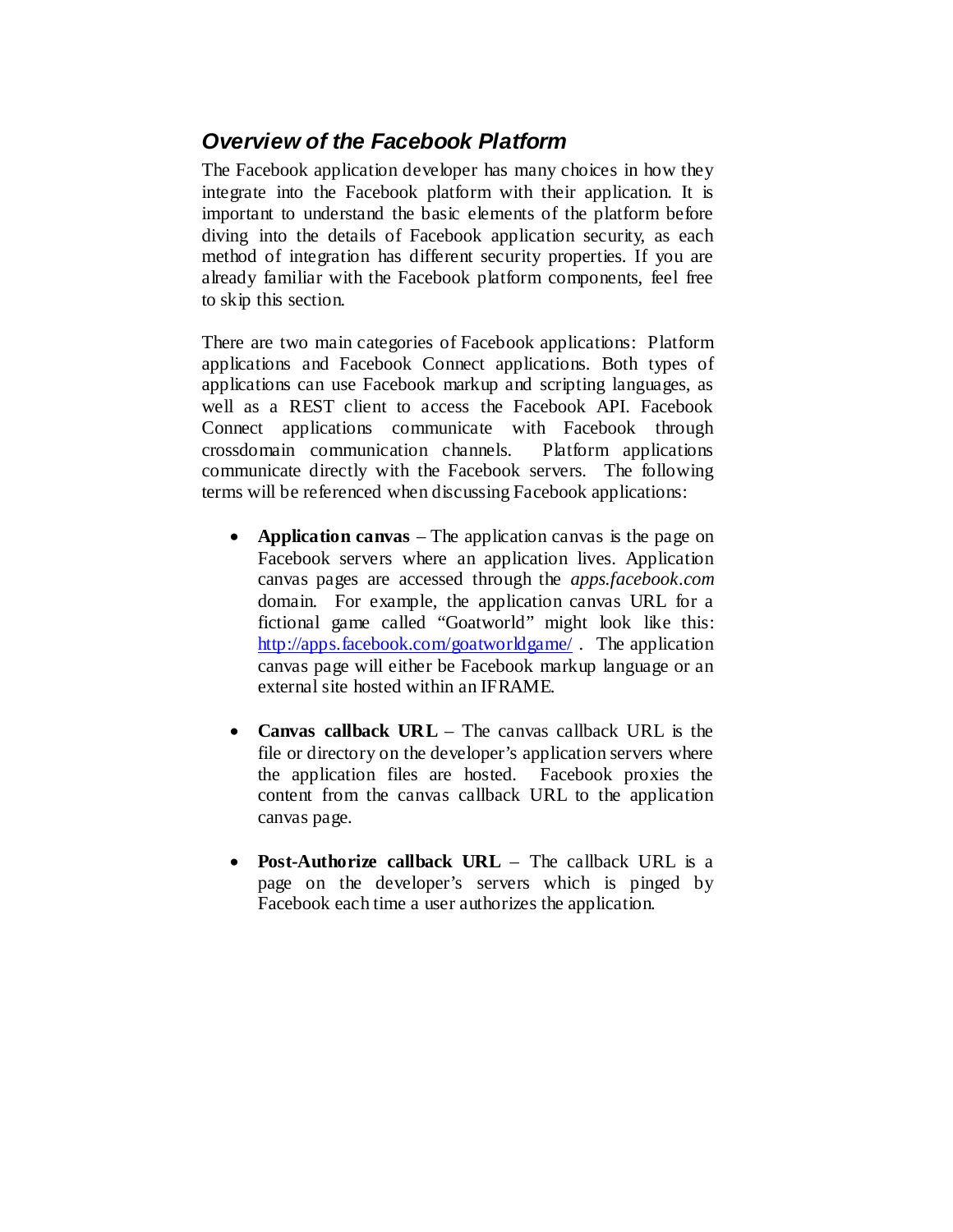# *Overview of the Facebook Platform*

The Facebook application developer has many choices in how they integrate into the Facebook platform with their application. It is important to understand the basic elements of the platform before diving into the details of Facebook application security, as each method of integration has different security properties. If you are already familiar with the Facebook platform components, feel free to skip this section.

There are two main categories of Facebook applications: Platform applications and Facebook Connect applications. Both types of applications can use Facebook markup and scripting languages, as well as a REST client to access the Facebook API. Facebook Connect applications communicate with Facebook through crossdomain communication channels. Platform applications communicate directly with the Facebook servers. The following terms will be referenced when discussing Facebook applications:

- **Application canvas** The application canvas is the page on Facebook servers where an application lives. Application canvas pages are accessed through the *apps.facebook.com*  domain. For example, the application canvas URL for a fictional game called "Goatworld" might look like this: <http://apps.facebook.com/goatworldgame/> . The application canvas page will either be Facebook markup language or an external site hosted within an IFRAME*.*
- **Canvas callback URL**  The canvas callback URL is the file or directory on the developer's application servers where the application files are hosted. Facebook proxies the content from the canvas callback URL to the application canvas page.
- **Post-Authorize callback URL** The callback URL is a page on the developer's servers which is pinged by Facebook each time a user authorizes the application.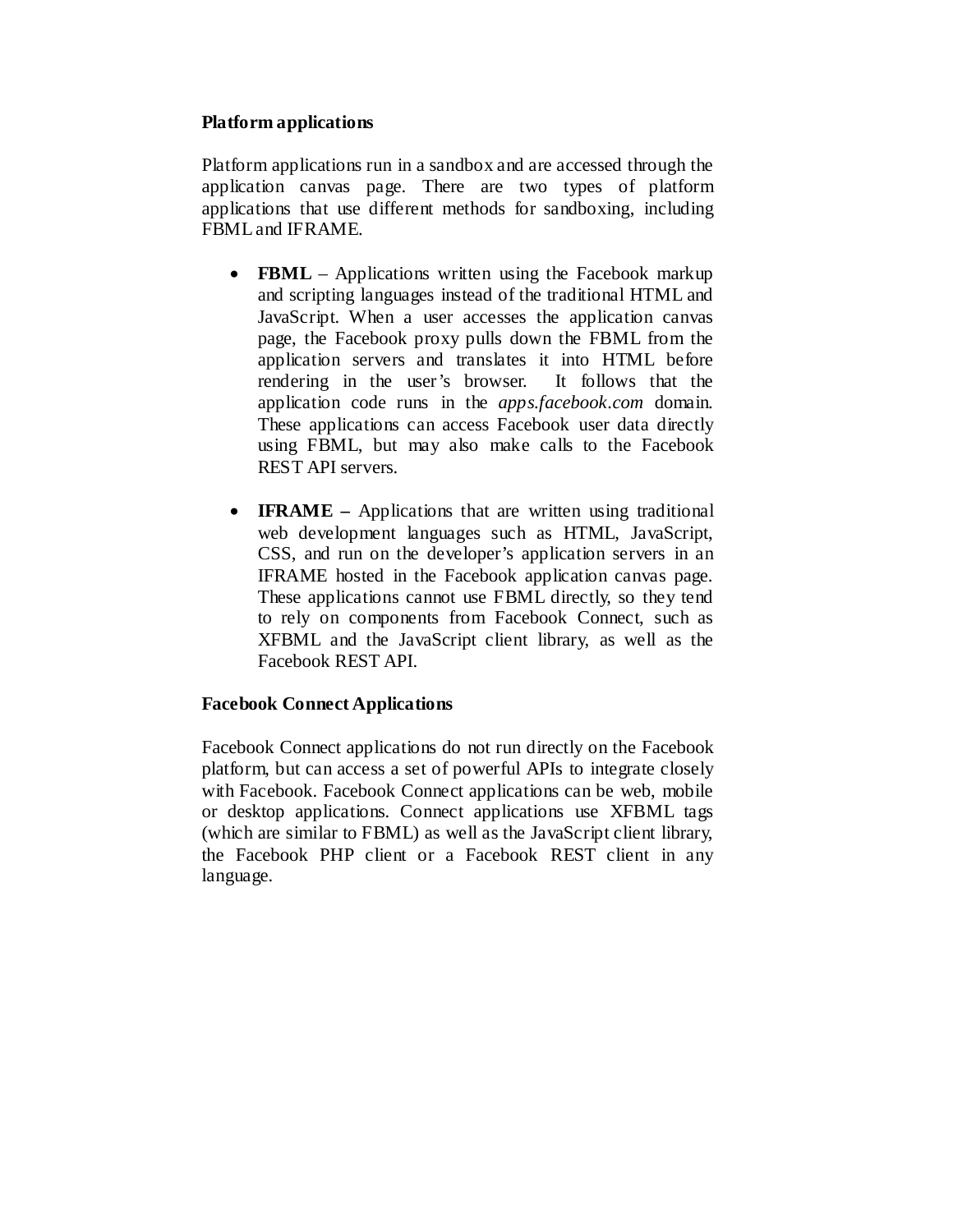#### **Platform applications**

Platform applications run in a sandbox and are accessed through the application canvas page. There are two types of platform applications that use different methods for sandboxing, including FBML and IFRAME.

- **FBML** Applications written using the Facebook markup and scripting languages instead of the traditional HTML and JavaScript. When a user accesses the application canvas page, the Facebook proxy pulls down the FBML from the application servers and translates it into HTML before rendering in the user's browser. It follows that the application code runs in the *apps.facebook.com* domain. These applications can access Facebook user data directly using FBML, but may also make calls to the Facebook REST API servers.
- **IFRAME** Applications that are written using traditional web development languages such as HTML, JavaScript, CSS, and run on the developer's application servers in an IFRAME hosted in the Facebook application canvas page. These applications cannot use FBML directly, so they tend to rely on components from Facebook Connect, such as XFBML and the JavaScript client library, as well as the Facebook REST API.

#### **Facebook Connect Applications**

Facebook Connect applications do not run directly on the Facebook platform, but can access a set of powerful APIs to integrate closely with Facebook. Facebook Connect applications can be web, mobile or desktop applications. Connect applications use XFBML tags (which are similar to FBML) as well as the JavaScript client library, the Facebook PHP client or a Facebook REST client in any language.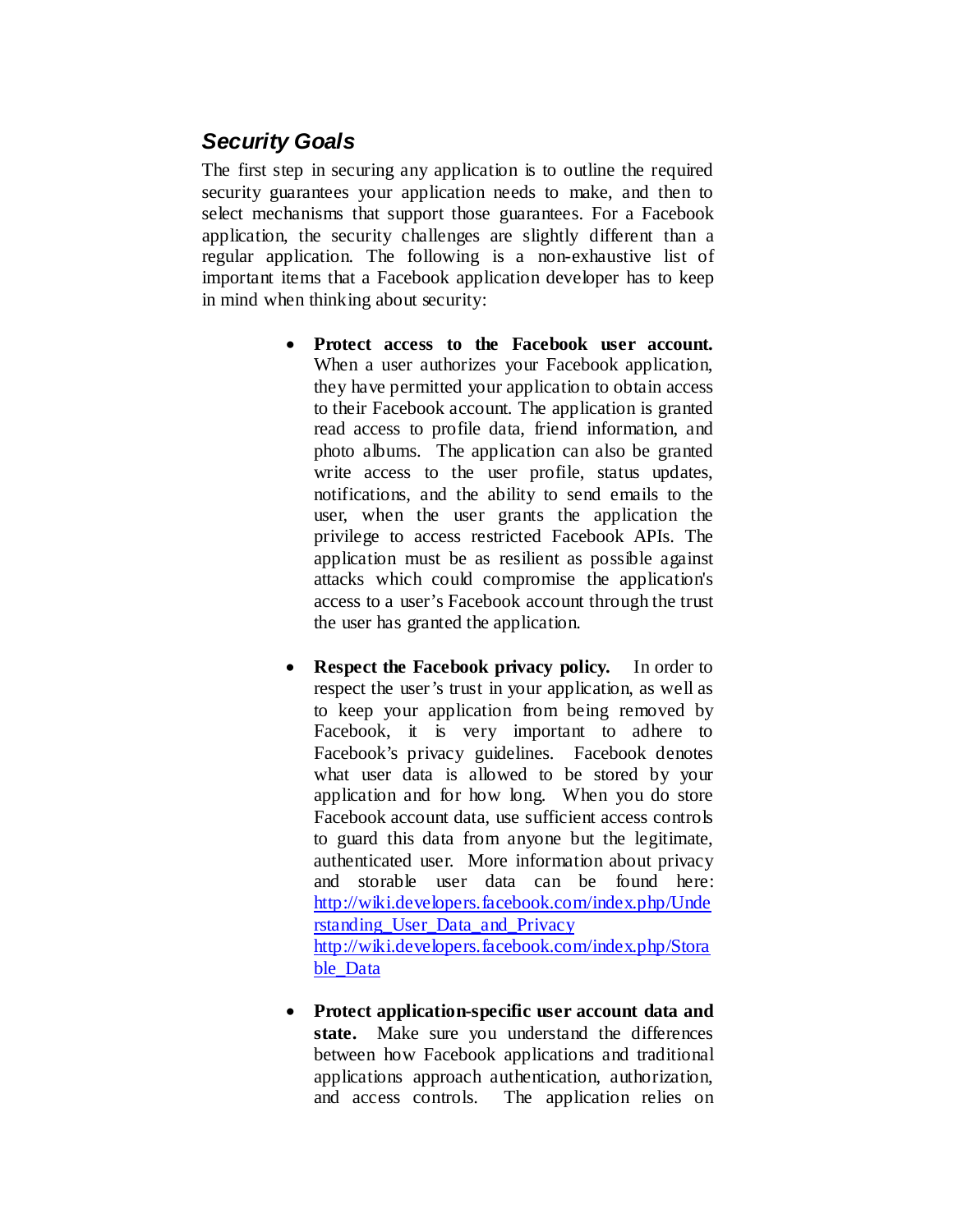# *Security Goals*

The first step in securing any application is to outline the required security guarantees your application needs to make, and then to select mechanisms that support those guarantees. For a Facebook application, the security challenges are slightly different than a regular application. The following is a non-exhaustive list of important items that a Facebook application developer has to keep in mind when thinking about security:

- **Protect access to the Facebook user account.** When a user authorizes your Facebook application, they have permitted your application to obtain access to their Facebook account. The application is granted read access to profile data, friend information, and photo albums. The application can also be granted write access to the user profile, status updates, notifications, and the ability to send emails to the user, when the user grants the application the privilege to access restricted Facebook APIs. The application must be as resilient as possible against attacks which could compromise the application's access to a user's Facebook account through the trust the user has granted the application.
- **Respect the Facebook privacy policy.** In order to respect the user's trust in your application, as well as to keep your application from being removed by Facebook, it is very important to adhere to Facebook's privacy guidelines. Facebook denotes what user data is allowed to be stored by your application and for how long. When you do store Facebook account data, use sufficient access controls to guard this data from anyone but the legitimate, authenticated user. More information about privacy and storable user data can be found here: [http://wiki.developers.facebook.com/index.php/Unde](http://wiki.developers.facebook.com/index.php/Understanding_User_Data_and_Privacy) [rstanding\\_User\\_Data\\_and\\_Privacy](http://wiki.developers.facebook.com/index.php/Understanding_User_Data_and_Privacy) [http://wiki.developers.facebook.com/index.php/Stora](http://wiki.developers.facebook.com/index.php/Storable_Data) [ble\\_Data](http://wiki.developers.facebook.com/index.php/Storable_Data)
- **Protect application-specific user account data and state.** Make sure you understand the differences between how Facebook applications and traditional applications approach authentication, authorization, and access controls. The application relies on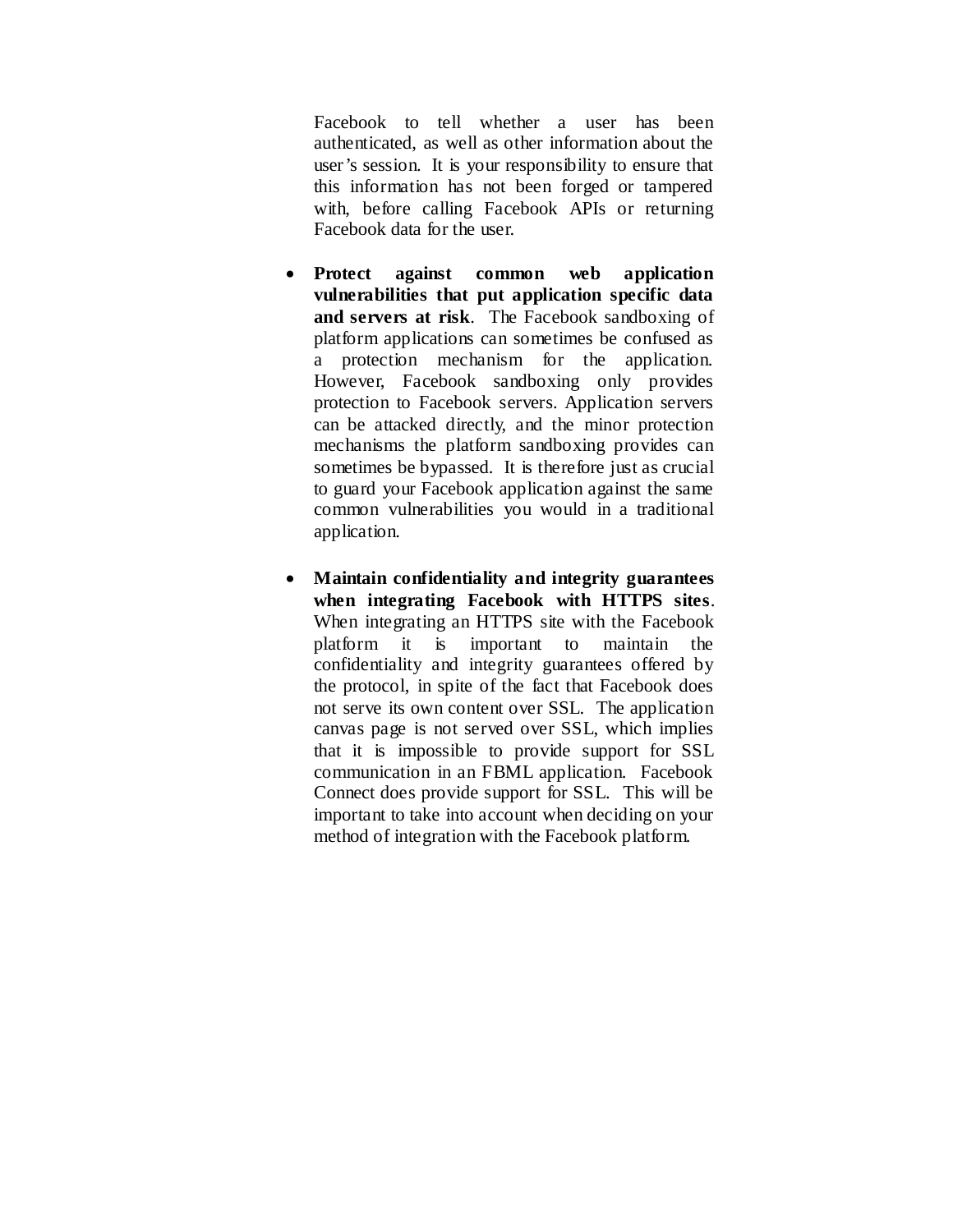Facebook to tell whether a user has been authenticated, as well as other information about the user's session. It is your responsibility to ensure that this information has not been forged or tampered with, before calling Facebook APIs or returning Facebook data for the user.

- **Protect against common web application vulnerabilities that put application specific data and servers at risk**. The Facebook sandboxing of platform applications can sometimes be confused as a protection mechanism for the application. However, Facebook sandboxing only provides protection to Facebook servers. Application servers can be attacked directly, and the minor protection mechanisms the platform sandboxing provides can sometimes be bypassed. It is therefore just as crucial to guard your Facebook application against the same common vulnerabilities you would in a traditional application.
- **Maintain confidentiality and integrity guarantees when integrating Facebook with HTTPS sites**. When integrating an HTTPS site with the Facebook platform it is important to maintain the confidentiality and integrity guarantees offered by the protocol, in spite of the fact that Facebook does not serve its own content over SSL. The application canvas page is not served over SSL, which implies that it is impossible to provide support for SSL communication in an FBML application. Facebook Connect does provide support for SSL. This will be important to take into account when deciding on your method of integration with the Facebook platform.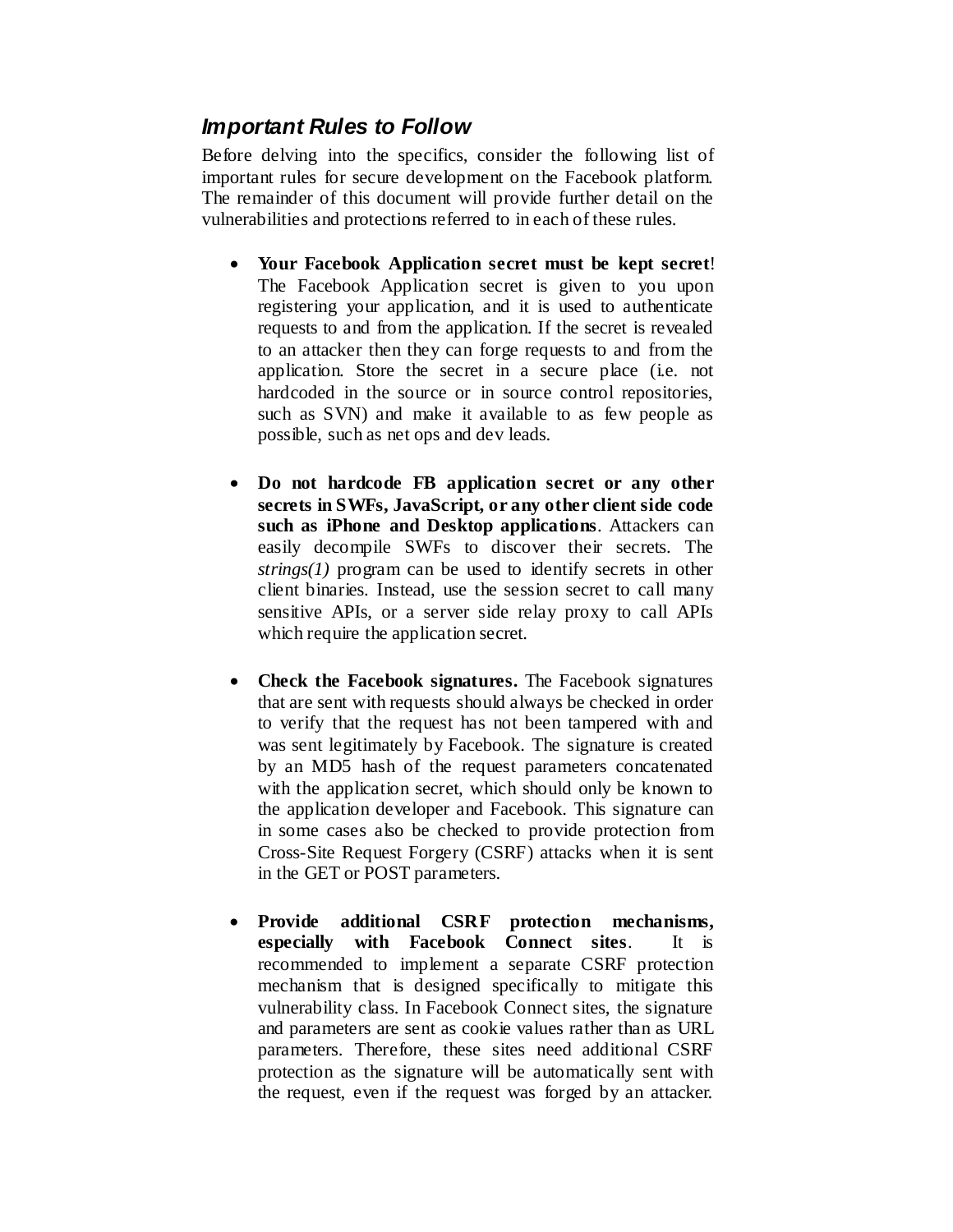# *Important Rules to Follow*

Before delving into the specifics, consider the following list of important rules for secure development on the Facebook platform. The remainder of this document will provide further detail on the vulnerabilities and protections referred to in each of these rules.

- **Your Facebook Application secret must be kept secret**! The Facebook Application secret is given to you upon registering your application, and it is used to authenticate requests to and from the application. If the secret is revealed to an attacker then they can forge requests to and from the application. Store the secret in a secure place (i.e. not hardcoded in the source or in source control repositories, such as SVN) and make it available to as few people as possible, such as net ops and dev leads.
- **Do not hardcode FB application secret or any other secrets in SWFs, JavaScript, or any other client side code such as iPhone and Desktop applications**. Attackers can easily decompile SWFs to discover their secrets. The *strings(1)* program can be used to identify secrets in other client binaries. Instead, use the session secret to call many sensitive APIs, or a server side relay proxy to call APIs which require the application secret.
- **Check the Facebook signatures.** The Facebook signatures that are sent with requests should always be checked in order to verify that the request has not been tampered with and was sent legitimately by Facebook. The signature is created by an MD5 hash of the request parameters concatenated with the application secret, which should only be known to the application developer and Facebook. This signature can in some cases also be checked to provide protection from Cross-Site Request Forgery (CSRF) attacks when it is sent in the GET or POST parameters.
- **Provide additional CSRF protection mechanisms, especially with Facebook Connect sites**. It is recommended to implement a separate CSRF protection mechanism that is designed specifically to mitigate this vulnerability class. In Facebook Connect sites, the signature and parameters are sent as cookie values rather than as URL parameters. Therefore, these sites need additional CSRF protection as the signature will be automatically sent with the request, even if the request was forged by an attacker.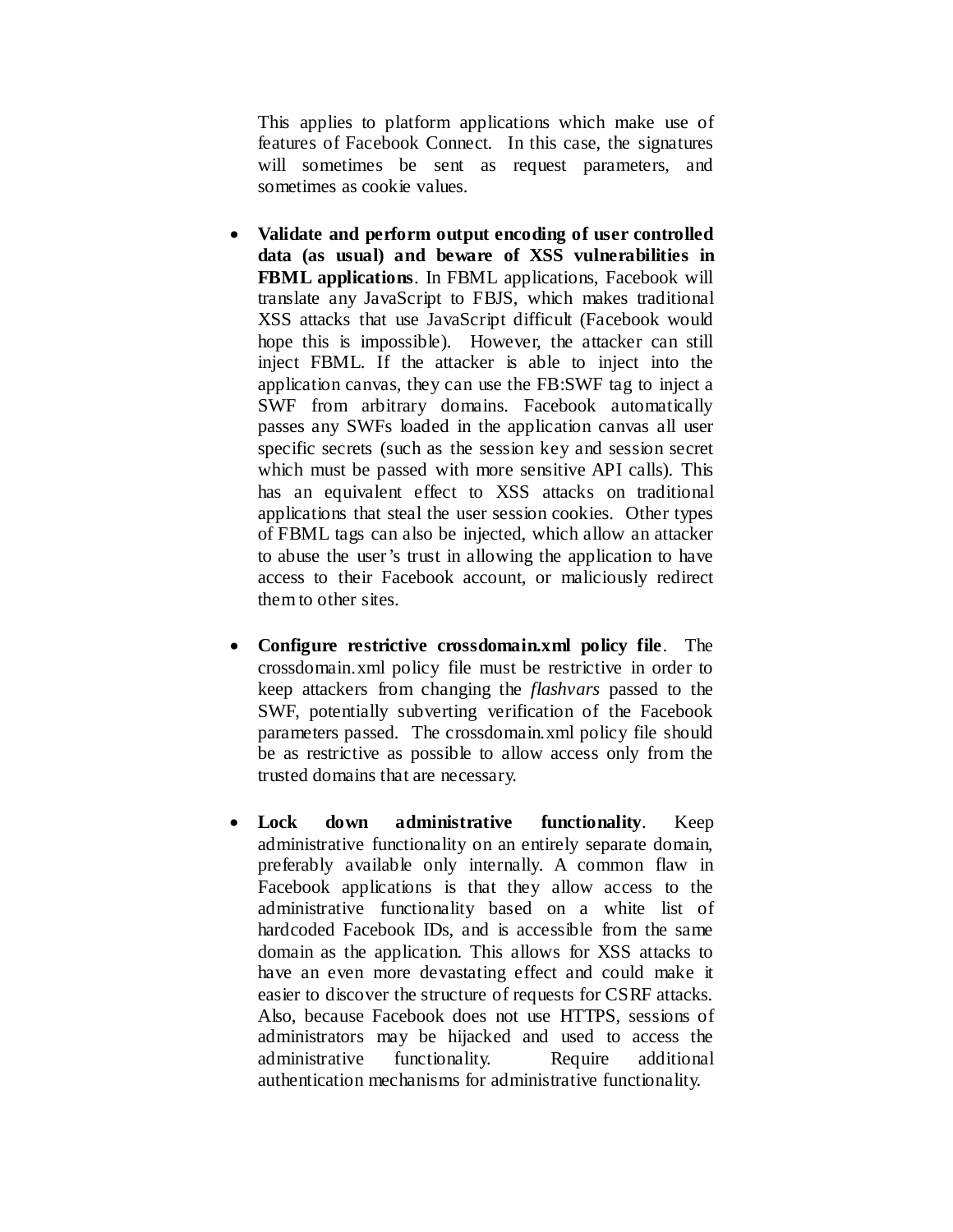This applies to platform applications which make use of features of Facebook Connect. In this case, the signatures will sometimes be sent as request parameters, and sometimes as cookie values.

- **Validate and perform output encoding of user controlled data (as usual) and beware of XSS vulnerabilities in FBML applications**. In FBML applications, Facebook will translate any JavaScript to FBJS, which makes traditional XSS attacks that use JavaScript difficult (Facebook would hope this is impossible). However, the attacker can still inject FBML. If the attacker is able to inject into the application canvas, they can use the FB:SWF tag to inject a SWF from arbitrary domains. Facebook automatically passes any SWFs loaded in the application canvas all user specific secrets (such as the session key and session secret which must be passed with more sensitive API calls). This has an equivalent effect to XSS attacks on traditional applications that steal the user session cookies. Other types of FBML tags can also be injected, which allow an attacker to abuse the user's trust in allowing the application to have access to their Facebook account, or maliciously redirect them to other sites.
- **Configure restrictive crossdomain.xml policy file**. The crossdomain.xml policy file must be restrictive in order to keep attackers from changing the *flashvars* passed to the SWF, potentially subverting verification of the Facebook parameters passed. The crossdomain.xml policy file should be as restrictive as possible to allow access only from the trusted domains that are necessary.
- **Lock down administrative functionality**. Keep administrative functionality on an entirely separate domain, preferably available only internally. A common flaw in Facebook applications is that they allow access to the administrative functionality based on a white list of hardcoded Facebook IDs, and is accessible from the same domain as the application. This allows for XSS attacks to have an even more devastating effect and could make it easier to discover the structure of requests for CSRF attacks. Also, because Facebook does not use HTTPS, sessions of administrators may be hijacked and used to access the administrative functionality. Require additional authentication mechanisms for administrative functionality.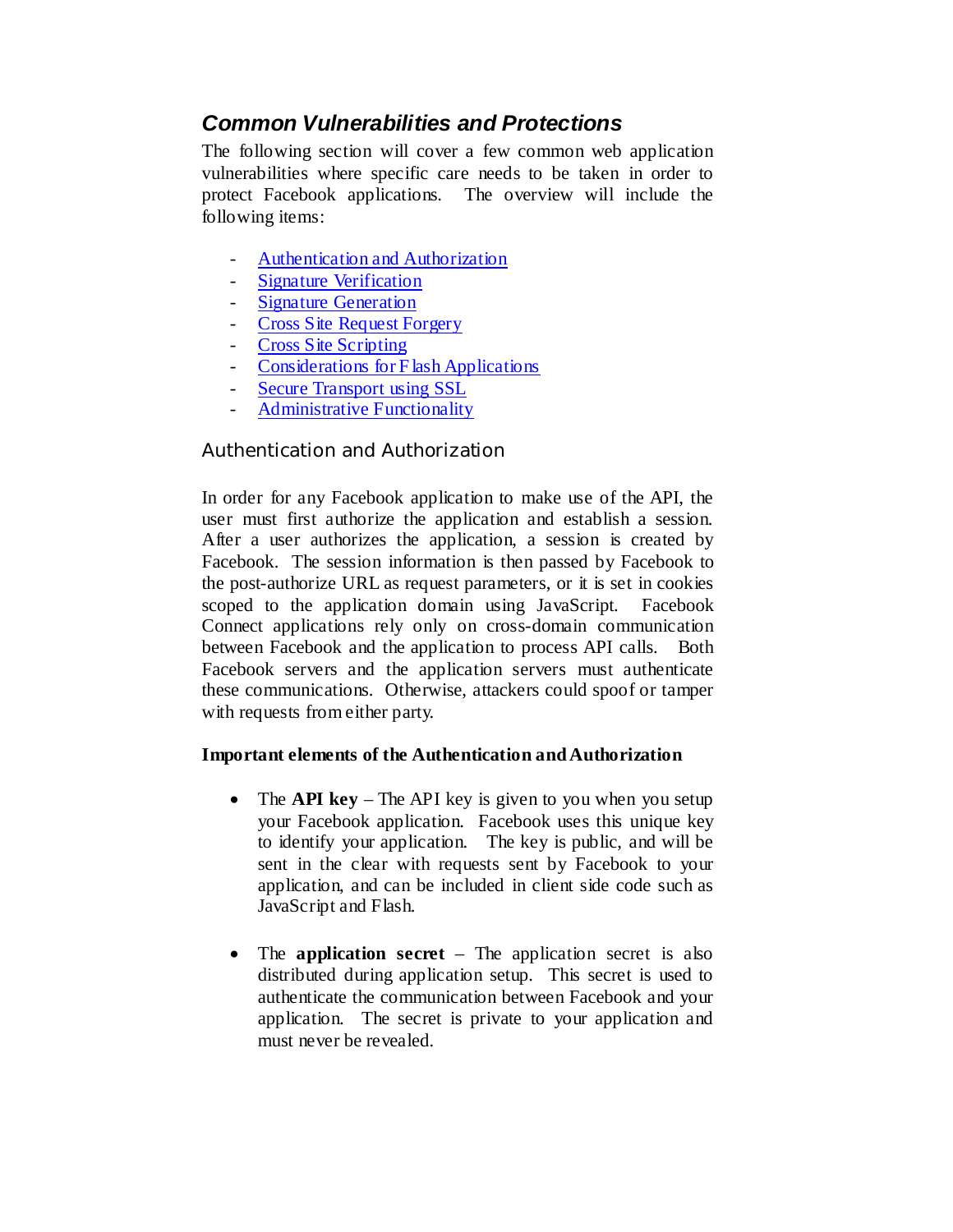# *Common Vulnerabilities and Protections*

The following section will cover a few common web application vulnerabilities where specific care needs to be taken in order to protect Facebook applications. The overview will include the following items:

- [Authentication and Authorization](#page-7-0)
- [Signature Verification](#page-9-0)
- [Signature Generation](#page-10-0)
- [Cross Site Request Forgery](#page-12-0)
- [Cross Site Scripting](#page-14-0)
- [Considerations for F lash Applications](#page-17-0)
- [Secure Transport using SSL](#page-19-0)
- [Administrative Functionality](#page-20-0)

## <span id="page-7-0"></span>Authentication and Authorization

In order for any Facebook application to make use of the API, the user must first authorize the application and establish a session. After a user authorizes the application, a session is created by Facebook. The session information is then passed by Facebook to the post-authorize URL as request parameters, or it is set in cookies scoped to the application domain using JavaScript. Facebook Connect applications rely only on cross-domain communication between Facebook and the application to process API calls. Both Facebook servers and the application servers must authenticate these communications. Otherwise, attackers could spoof or tamper with requests from either party.

#### **Important elements of the Authentication and Authorization**

- The **API key** The API key is given to you when you setup your Facebook application. Facebook uses this unique key to identify your application. The key is public, and will be sent in the clear with requests sent by Facebook to your application, and can be included in client side code such as JavaScript and Flash.
- The **application secret** The application secret is also distributed during application setup. This secret is used to authenticate the communication between Facebook and your application. The secret is private to your application and must never be revealed.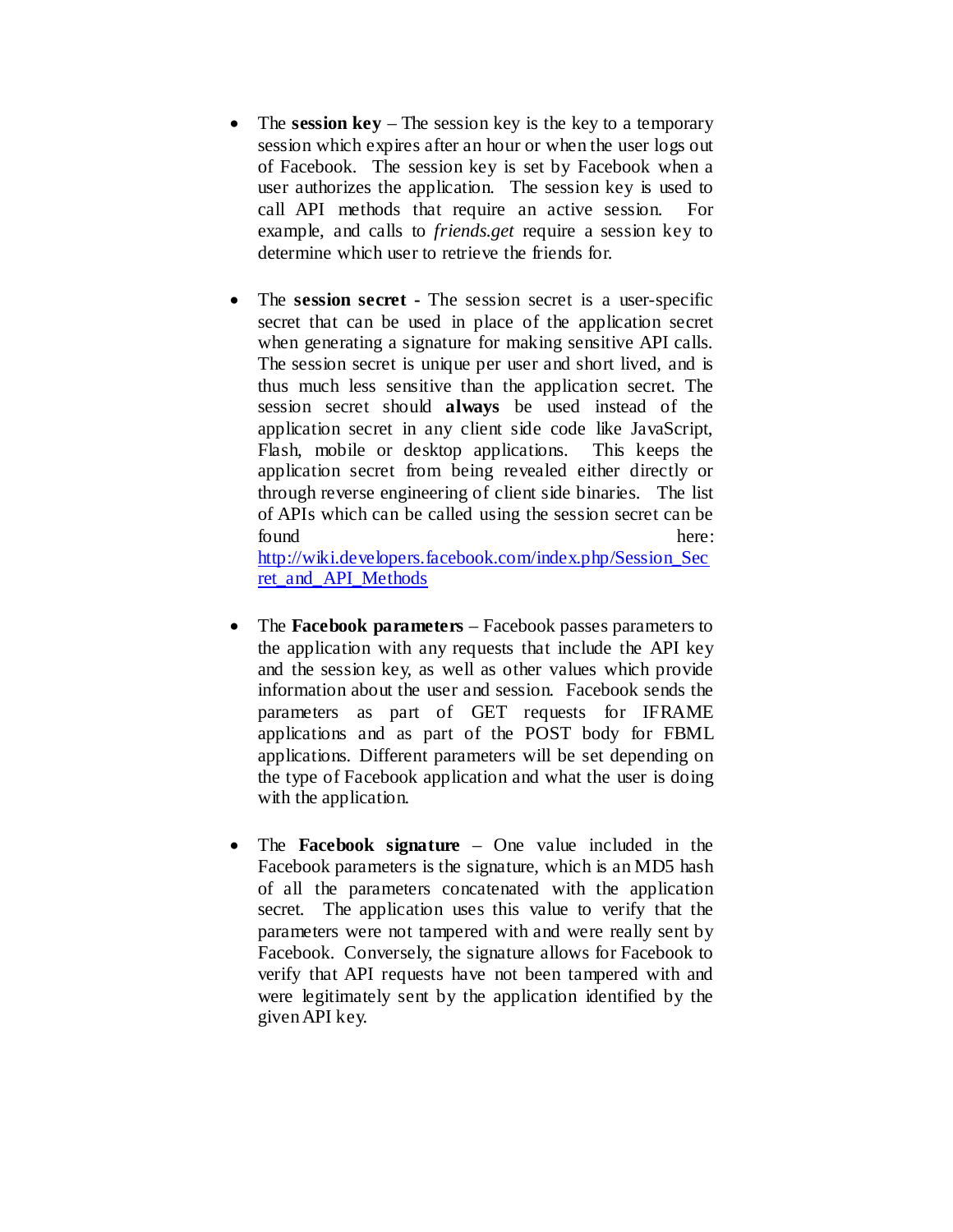- The **session key** The session key is the key to a temporary session which expires after an hour or when the user logs out of Facebook. The session key is set by Facebook when a user authorizes the application. The session key is used to call API methods that require an active session. For example, and calls to *friends.get* require a session key to determine which user to retrieve the friends for.
- The **session secret -** The session secret is a user-specific secret that can be used in place of the application secret when generating a signature for making sensitive API calls. The session secret is unique per user and short lived, and is thus much less sensitive than the application secret. The session secret should **always** be used instead of the application secret in any client side code like JavaScript, Flash, mobile or desktop applications. This keeps the application secret from being revealed either directly or through reverse engineering of client side binaries. The list of APIs which can be called using the session secret can be found here:

[http://wiki.developers.facebook.com/index.php/Session\\_Sec](http://wiki.developers.facebook.com/index.php/Session_Secret_and_API_Methods) [ret\\_and\\_API\\_Methods](http://wiki.developers.facebook.com/index.php/Session_Secret_and_API_Methods)

- The **Facebook parameters** Facebook passes parameters to the application with any requests that include the API key and the session key, as well as other values which provide information about the user and session. Facebook sends the parameters as part of GET requests for IFRAME applications and as part of the POST body for FBML applications. Different parameters will be set depending on the type of Facebook application and what the user is doing with the application.
- The **Facebook signature** One value included in the Facebook parameters is the signature, which is an MD5 hash of all the parameters concatenated with the application secret. The application uses this value to verify that the parameters were not tampered with and were really sent by Facebook. Conversely, the signature allows for Facebook to verify that API requests have not been tampered with and were legitimately sent by the application identified by the given API key.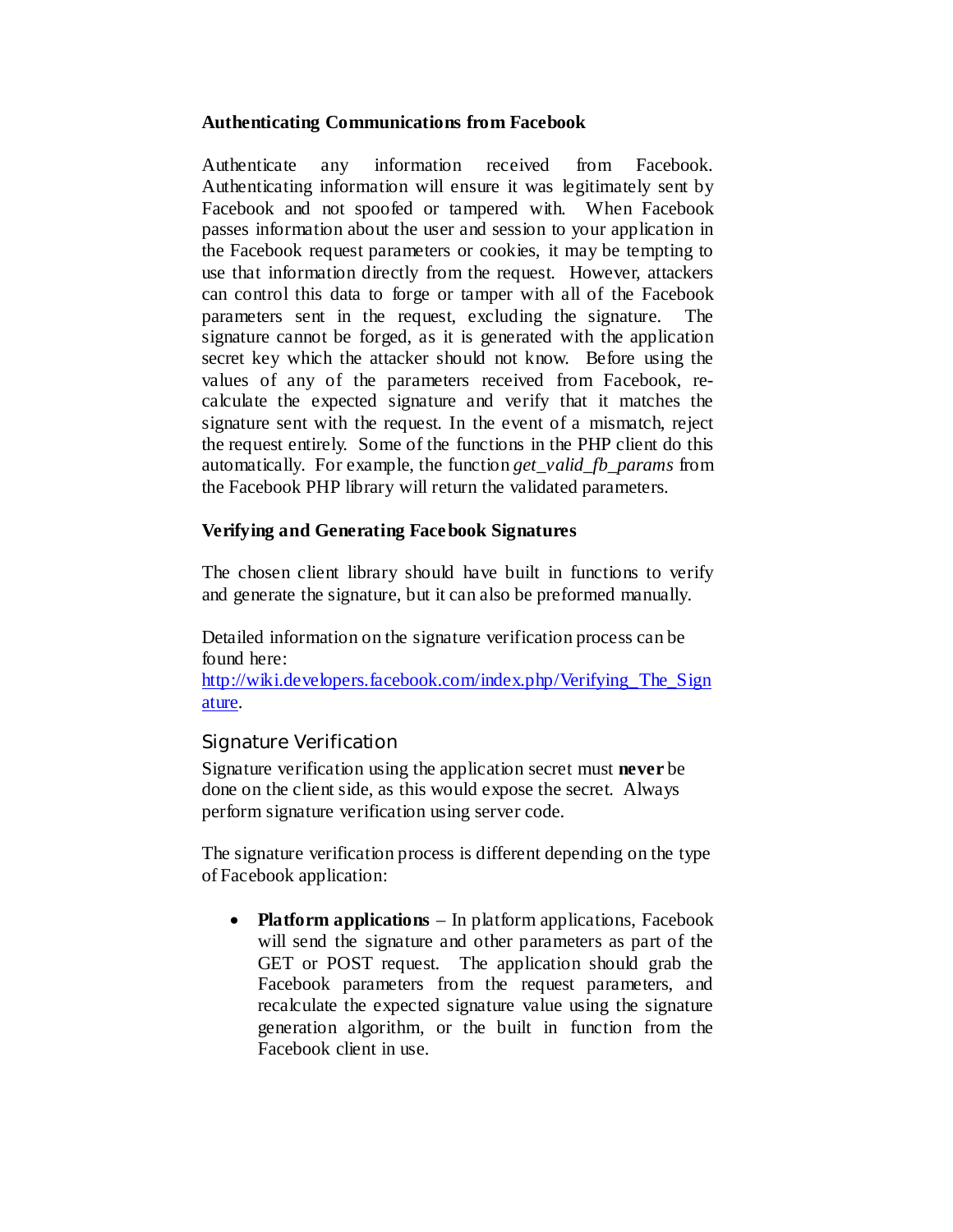#### **Authenticating Communications from Facebook**

Authenticate any information received from Facebook. Authenticating information will ensure it was legitimately sent by Facebook and not spoofed or tampered with. When Facebook passes information about the user and session to your application in the Facebook request parameters or cookies, it may be tempting to use that information directly from the request. However, attackers can control this data to forge or tamper with all of the Facebook parameters sent in the request, excluding the signature. The signature cannot be forged, as it is generated with the application secret key which the attacker should not know. Before using the values of any of the parameters received from Facebook, recalculate the expected signature and verify that it matches the signature sent with the request. In the event of a mismatch, reject the request entirely. Some of the functions in the PHP client do this automatically. For example, the function *get\_valid\_fb\_params* from the Facebook PHP library will return the validated parameters.

## **Verifying and Generating Facebook Signatures**

The chosen client library should have built in functions to verify and generate the signature, but it can also be preformed manually.

Detailed information on the signature verification process can be found here:

[http://wiki.developers.facebook.com/index.php/Verifying\\_The\\_Sign](http://wiki.developers.facebook.com/index.php/Verifying_The_Signature) [ature.](http://wiki.developers.facebook.com/index.php/Verifying_The_Signature)

## <span id="page-9-0"></span>Signature Verification

Signature verification using the application secret must **never** be done on the client side, as this would expose the secret. Always perform signature verification using server code.

The signature verification process is different depending on the type of Facebook application:

• **Platform applications** – In platform applications, Facebook will send the signature and other parameters as part of the GET or POST request. The application should grab the Facebook parameters from the request parameters, and recalculate the expected signature value using the signature generation algorithm, or the built in function from the Facebook client in use.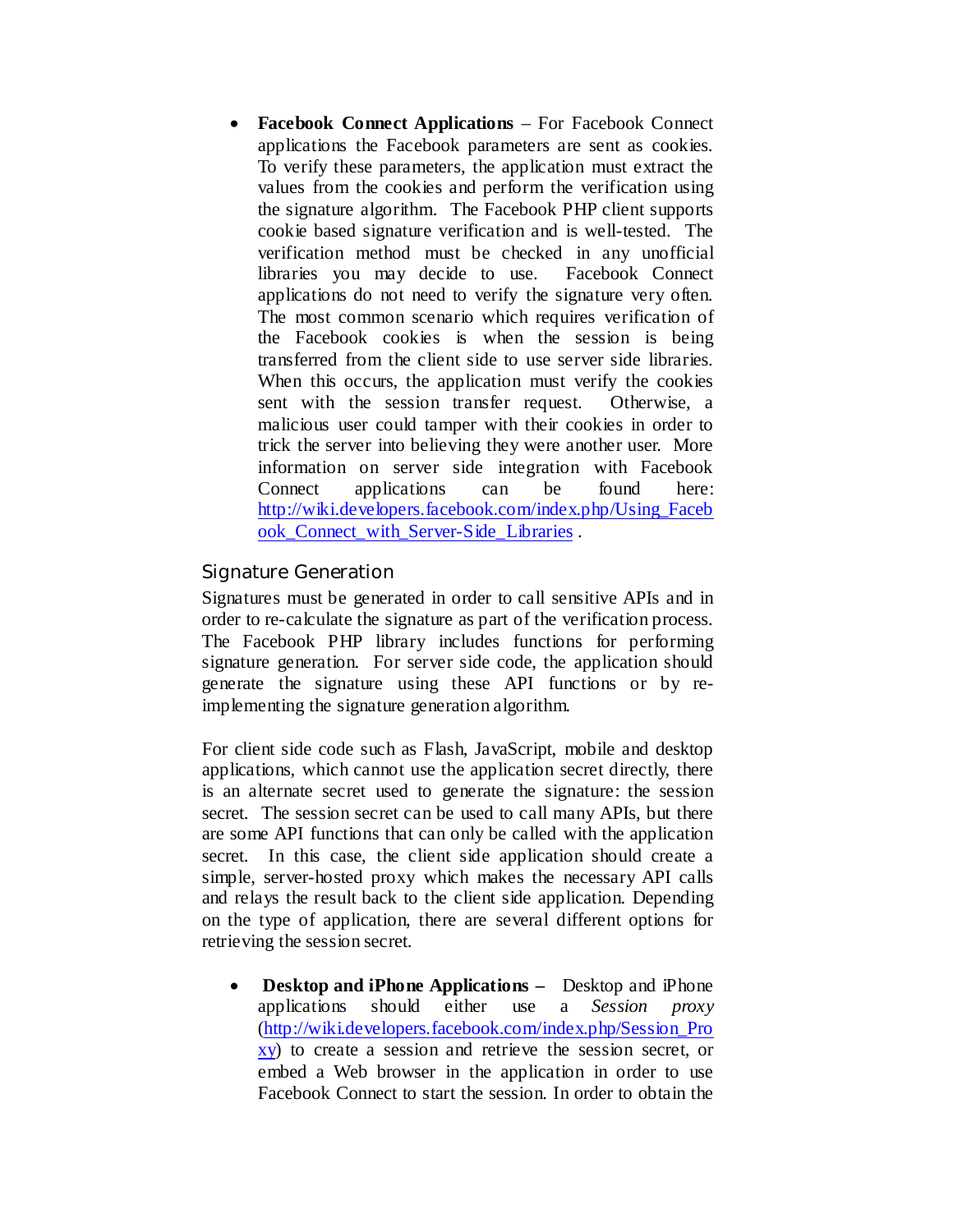• **Facebook Connect Applications** – For Facebook Connect applications the Facebook parameters are sent as cookies. To verify these parameters, the application must extract the values from the cookies and perform the verification using the signature algorithm. The Facebook PHP client supports cookie based signature verification and is well-tested. The verification method must be checked in any unofficial libraries you may decide to use. Facebook Connect applications do not need to verify the signature very often. The most common scenario which requires verification of the Facebook cookies is when the session is being transferred from the client side to use server side libraries. When this occurs, the application must verify the cookies sent with the session transfer request. Otherwise, a malicious user could tamper with their cookies in order to trick the server into believing they were another user. More information on server side integration with Facebook Connect applications can be found here: [http://wiki.developers.facebook.com/index.php/Using\\_Faceb](http://wiki.developers.facebook.com/index.php/Using_Facebook_Connect_with_Server-Side_Libraries) ook Connect with Server-Side Libraries .

## <span id="page-10-0"></span>Signature Generation

Signatures must be generated in order to call sensitive APIs and in order to re-calculate the signature as part of the verification process. The Facebook PHP library includes functions for performing signature generation. For server side code, the application should generate the signature using these API functions or by reimplementing the signature generation algorithm.

For client side code such as Flash, JavaScript, mobile and desktop applications, which cannot use the application secret directly, there is an alternate secret used to generate the signature: the session secret. The session secret can be used to call many APIs, but there are some API functions that can only be called with the application secret. In this case, the client side application should create a simple, server-hosted proxy which makes the necessary API calls and relays the result back to the client side application. Depending on the type of application, there are several different options for retrieving the session secret.

• **Desktop and iPhone Applications –** Desktop and iPhone applications should either use a *Session proxy* [\(http://wiki.developers.facebook.com/index.php/Session\\_Pro](http://wiki.developers.facebook.com/index.php/Session_Proxy) [xy\)](http://wiki.developers.facebook.com/index.php/Session_Proxy) to create a session and retrieve the session secret, or embed a Web browser in the application in order to use Facebook Connect to start the session. In order to obtain the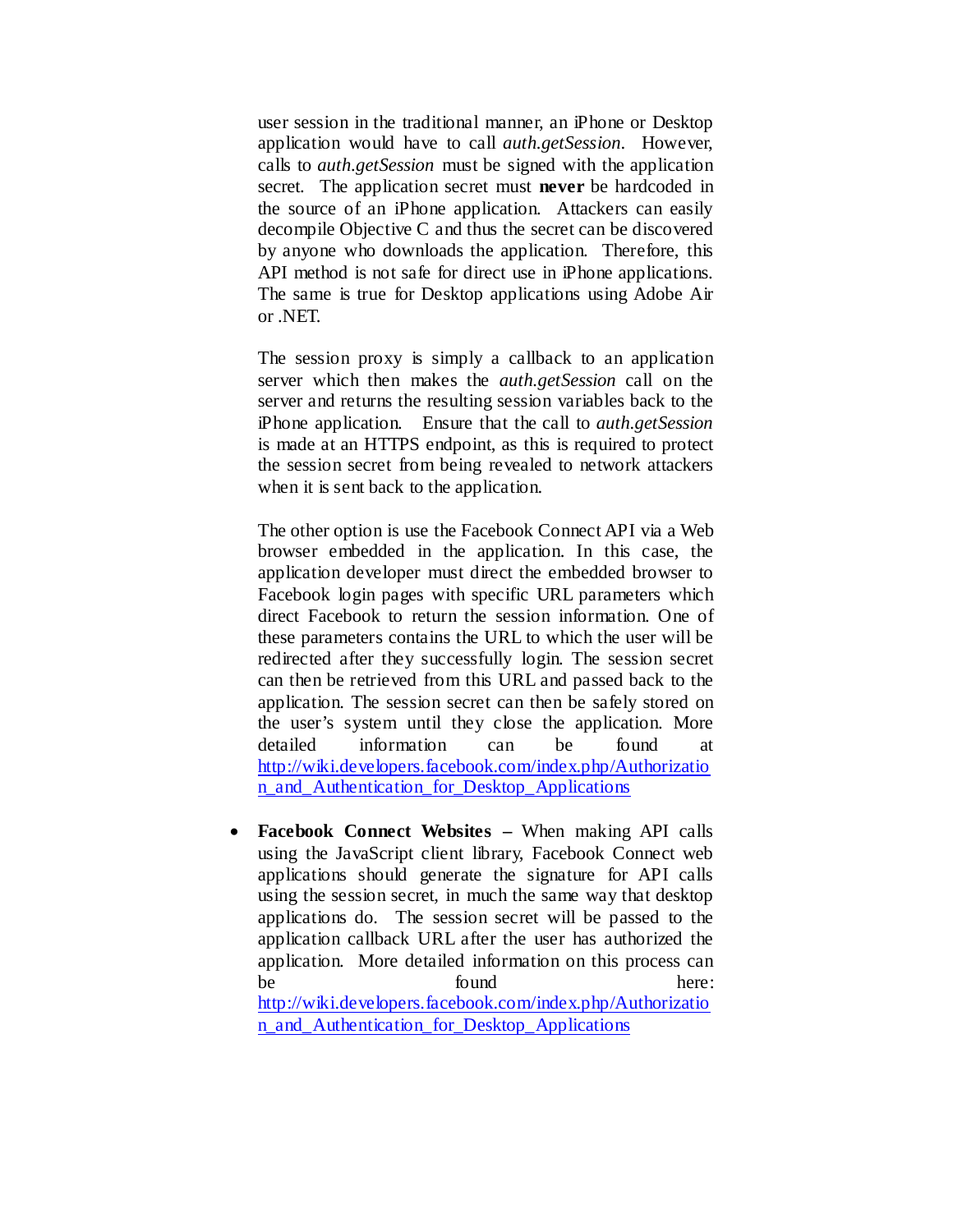user session in the traditional manner, an iPhone or Desktop application would have to call *auth.getSession*. However, calls to *auth.getSession* must be signed with the application secret. The application secret must **never** be hardcoded in the source of an iPhone application. Attackers can easily decompile Objective C and thus the secret can be discovered by anyone who downloads the application. Therefore, this API method is not safe for direct use in iPhone applications. The same is true for Desktop applications using Adobe Air or .NET.

The session proxy is simply a callback to an application server which then makes the *auth.getSession* call on the server and returns the resulting session variables back to the iPhone application. Ensure that the call to *auth.getSession*  is made at an HTTPS endpoint, as this is required to protect the session secret from being revealed to network attackers when it is sent back to the application.

The other option is use the Facebook Connect API via a Web browser embedded in the application. In this case, the application developer must direct the embedded browser to Facebook login pages with specific URL parameters which direct Facebook to return the session information. One of these parameters contains the URL to which the user will be redirected after they successfully login. The session secret can then be retrieved from this URL and passed back to the application. The session secret can then be safely stored on the user's system until they close the application. More detailed information can be found at [http://wiki.developers.facebook.com/index.php/Authorizatio](http://wiki.developers.facebook.com/index.php/Authorization_and_Authentication_for_Desktop_Applications) [n\\_and\\_Authentication\\_for\\_Desktop\\_Applications](http://wiki.developers.facebook.com/index.php/Authorization_and_Authentication_for_Desktop_Applications)

• **Facebook Connect Websites –** When making API calls using the JavaScript client library, Facebook Connect web applications should generate the signature for API calls using the session secret*,* in much the same way that desktop applications do. The session secret will be passed to the application callback URL after the user has authorized the application. More detailed information on this process can be found here: [http://wiki.developers.facebook.com/index.php/Authorizatio](http://wiki.developers.facebook.com/index.php/Authorization_and_Authentication_for_Desktop_Applications) n and Authentication for Desktop Applications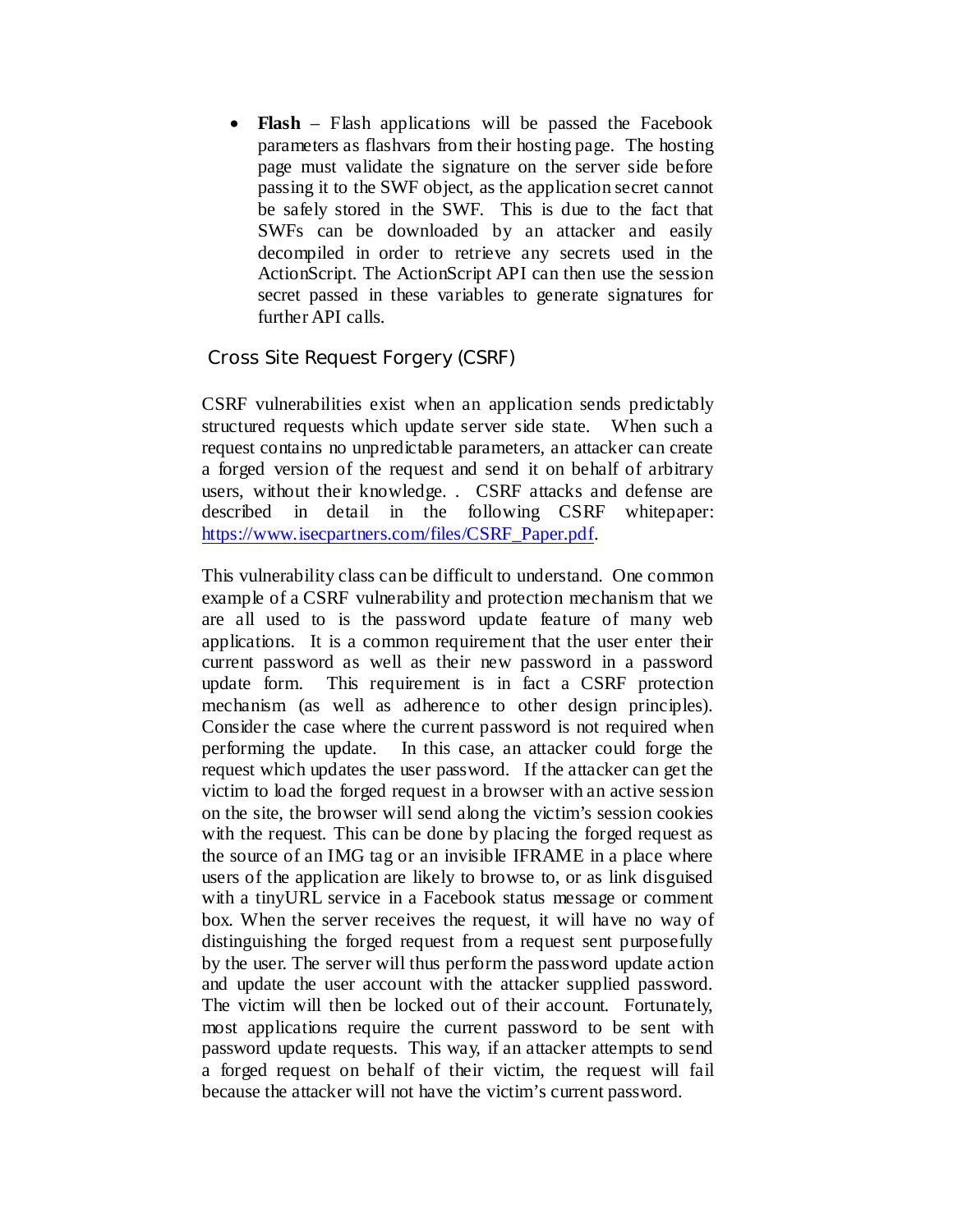• **Flash** – Flash applications will be passed the Facebook parameters as flashvars from their hosting page. The hosting page must validate the signature on the server side before passing it to the SWF object, as the application secret cannot be safely stored in the SWF. This is due to the fact that SWFs can be downloaded by an attacker and easily decompiled in order to retrieve any secrets used in the ActionScript. The ActionScript API can then use the session secret passed in these variables to generate signatures for further API calls.

## <span id="page-12-0"></span>Cross Site Request Forgery (CSRF)

CSRF vulnerabilities exist when an application sends predictably structured requests which update server side state. When such a request contains no unpredictable parameters, an attacker can create a forged version of the request and send it on behalf of arbitrary users, without their knowledge. . CSRF attacks and defense are described in detail in the following CSRF whitepaper: [https://www.isecpartners.com/files/CSRF\\_Paper.pdf.](https://www.isecpartners.com/files/CSRF_Paper.pdf)

This vulnerability class can be difficult to understand. One common example of a CSRF vulnerability and protection mechanism that we are all used to is the password update feature of many web applications. It is a common requirement that the user enter their current password as well as their new password in a password update form. This requirement is in fact a CSRF protection mechanism (as well as adherence to other design principles). Consider the case where the current password is not required when performing the update. In this case, an attacker could forge the request which updates the user password. If the attacker can get the victim to load the forged request in a browser with an active session on the site, the browser will send along the victim's session cookies with the request. This can be done by placing the forged request as the source of an IMG tag or an invisible IFRAME in a place where users of the application are likely to browse to, or as link disguised with a tinyURL service in a Facebook status message or comment box. When the server receives the request, it will have no way of distinguishing the forged request from a request sent purposefully by the user. The server will thus perform the password update action and update the user account with the attacker supplied password. The victim will then be locked out of their account. Fortunately, most applications require the current password to be sent with password update requests. This way, if an attacker attempts to send a forged request on behalf of their victim, the request will fail because the attacker will not have the victim's current password.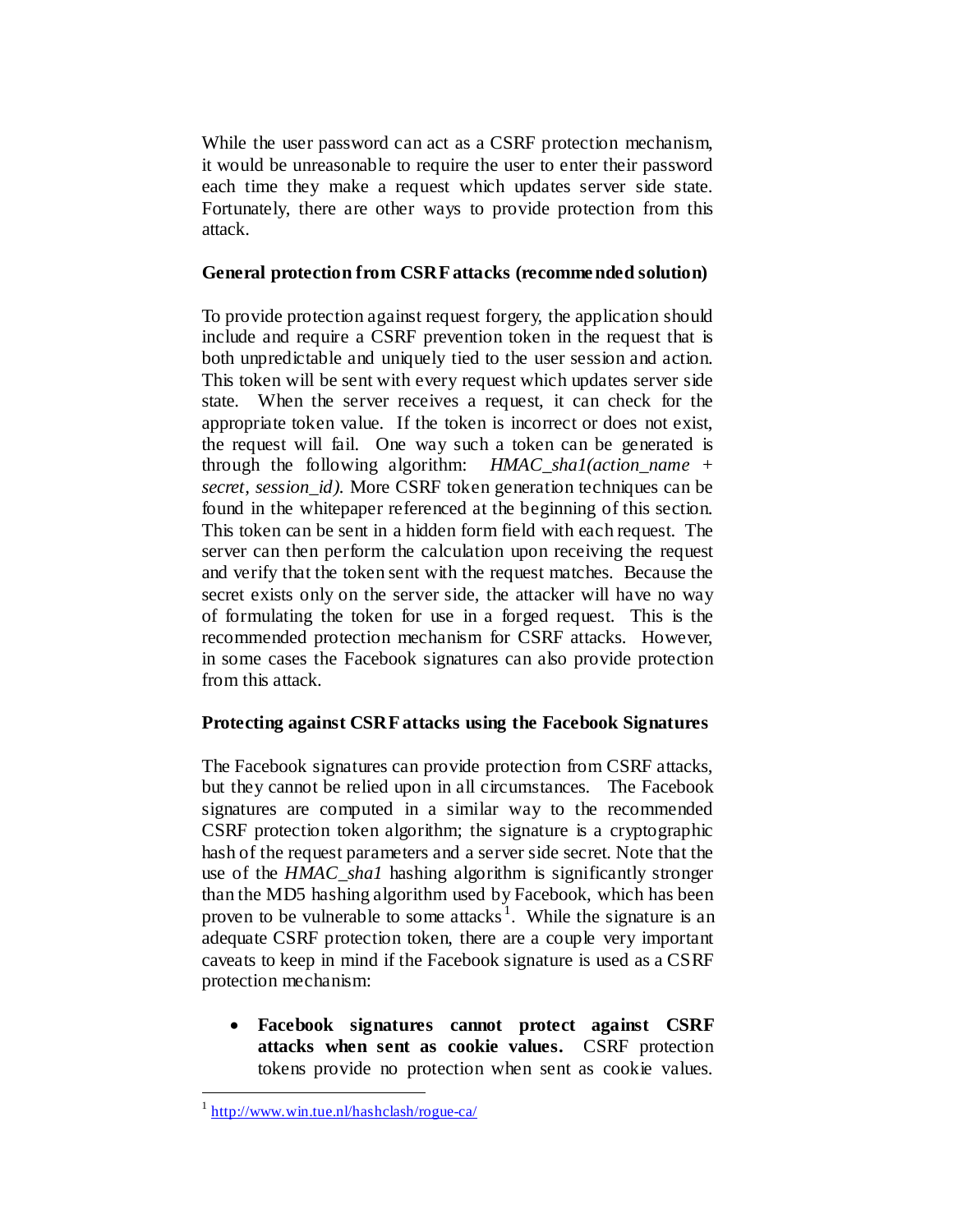While the user password can act as a CSRF protection mechanism, it would be unreasonable to require the user to enter their password each time they make a request which updates server side state. Fortunately, there are other ways to provide protection from this attack.

### **General protection from CSRF attacks (recommended solution)**

To provide protection against request forgery, the application should include and require a CSRF prevention token in the request that is both unpredictable and uniquely tied to the user session and action. This token will be sent with every request which updates server side state. When the server receives a request, it can check for the appropriate token value. If the token is incorrect or does not exist, the request will fail. One way such a token can be generated is through the following algorithm: *HMAC\_sha1(action\_name + secret, session id).* More CSRF token generation techniques can be found in the whitepaper referenced at the beginning of this section. This token can be sent in a hidden form field with each request. The server can then perform the calculation upon receiving the request and verify that the token sent with the request matches. Because the secret exists only on the server side, the attacker will have no way of formulating the token for use in a forged request. This is the recommended protection mechanism for CSRF attacks. However, in some cases the Facebook signatures can also provide protection from this attack.

## **Protecting against CSRF attacks using the Facebook Signatures**

The Facebook signatures can provide protection from CSRF attacks, but they cannot be relied upon in all circumstances. The Facebook signatures are computed in a similar way to the recommended CSRF protection token algorithm; the signature is a cryptographic hash of the request parameters and a server side secret. Note that the use of the *HMAC\_sha1* hashing algorithm is significantly stronger than the MD5 hashing algorithm used by Facebook, which has been proven to be vulnerable to some attacks<sup>[1](#page-13-0)</sup>. While the signature is an adequate CSRF protection token, there are a couple very important caveats to keep in mind if the Facebook signature is used as a CSRF protection mechanism:

• **Facebook signatures cannot protect against CSRF attacks when sent as cookie values.** CSRF protection tokens provide no protection when sent as cookie values.

<span id="page-13-0"></span> $1$  <http://www.win.tue.nl/hashclash/rogue-ca/>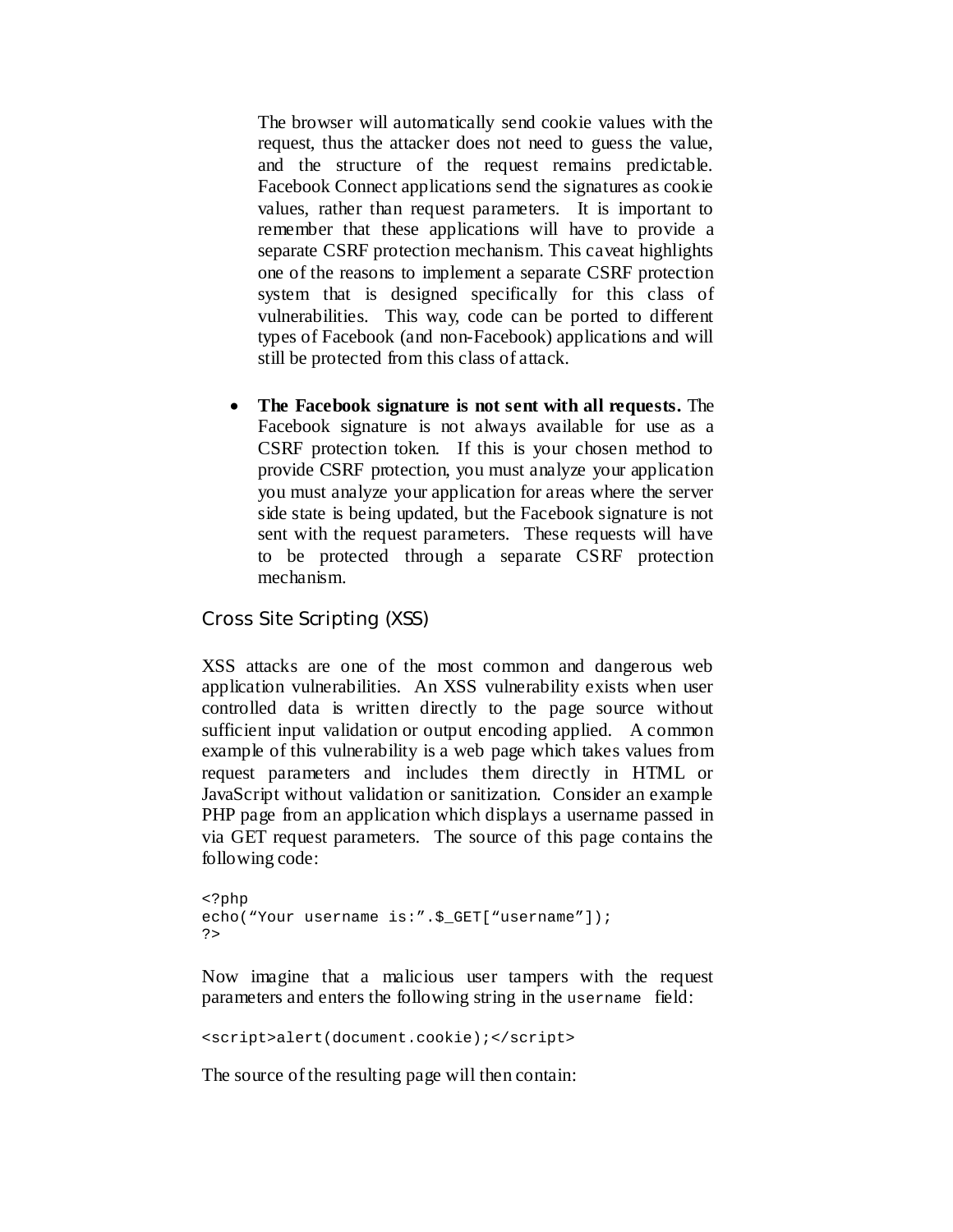The browser will automatically send cookie values with the request, thus the attacker does not need to guess the value, and the structure of the request remains predictable. Facebook Connect applications send the signatures as cookie values, rather than request parameters. It is important to remember that these applications will have to provide a separate CSRF protection mechanism. This caveat highlights one of the reasons to implement a separate CSRF protection system that is designed specifically for this class of vulnerabilities. This way, code can be ported to different types of Facebook (and non-Facebook) applications and will still be protected from this class of attack.

• **The Facebook signature is not sent with all requests.** The Facebook signature is not always available for use as a CSRF protection token. If this is your chosen method to provide CSRF protection, you must analyze your application you must analyze your application for areas where the server side state is being updated, but the Facebook signature is not sent with the request parameters. These requests will have to be protected through a separate CSRF protection mechanism.

<span id="page-14-0"></span>Cross Site Scripting (XSS)

XSS attacks are one of the most common and dangerous web application vulnerabilities. An XSS vulnerability exists when user controlled data is written directly to the page source without sufficient input validation or output encoding applied. A common example of this vulnerability is a web page which takes values from request parameters and includes them directly in HTML or JavaScript without validation or sanitization. Consider an example PHP page from an application which displays a username passed in via GET request parameters. The source of this page contains the following code:

```
<?php
echo("Your username is:".$_GET["username"]);
?>
```
Now imagine that a malicious user tampers with the request parameters and enters the following string in the username field:

<script>alert(document.cookie);</script>

The source of the resulting page will then contain: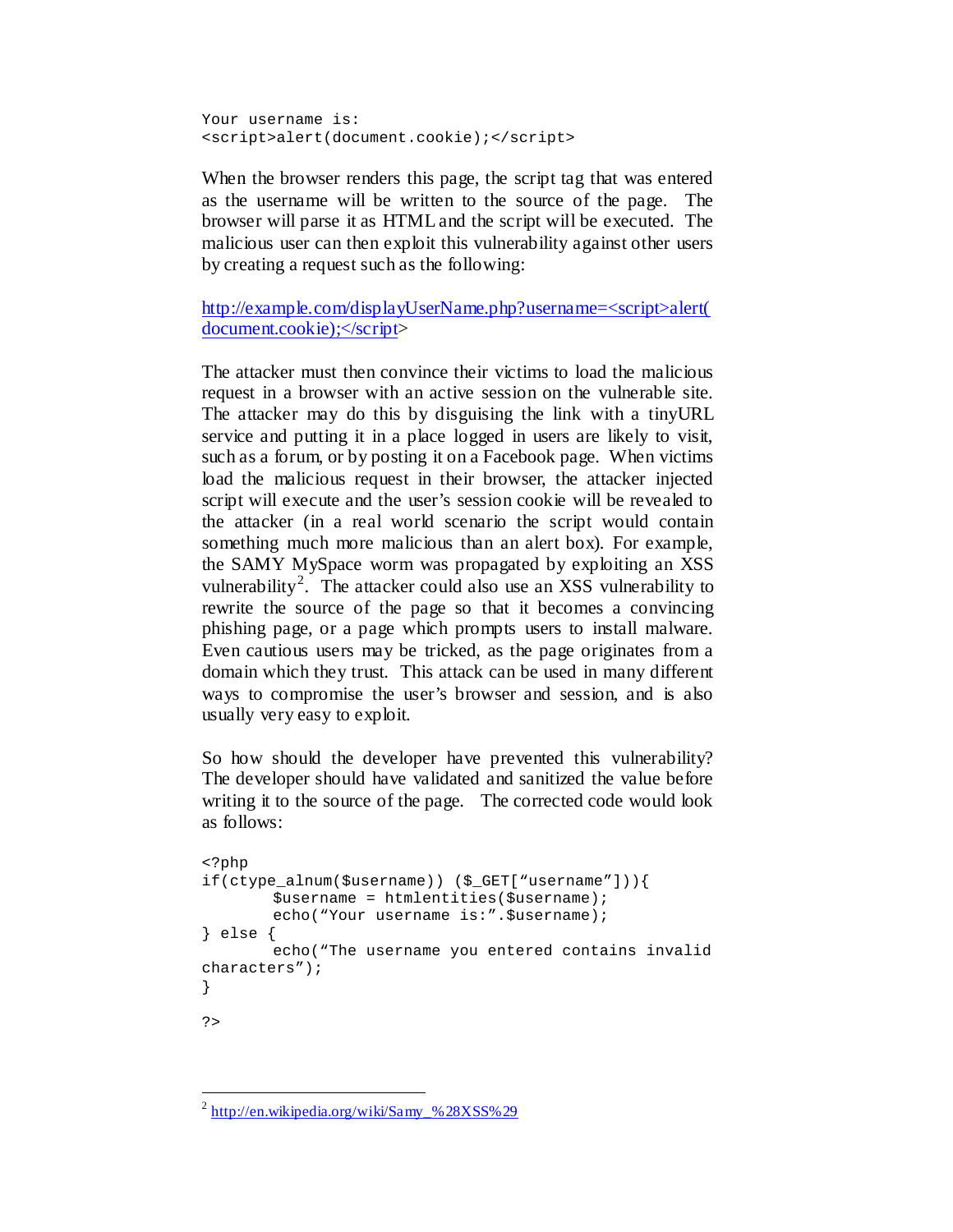Your username is: <script>alert(document.cookie);</script>

When the browser renders this page, the script tag that was entered as the username will be written to the source of the page. The browser will parse it as HTML and the script will be executed. The malicious user can then exploit this vulnerability against other users by creating a request such as the following:

[http://example.com/displayUserName.php?username=<script>alert\(](http://example.com/displayUserName.php?username=%3cscript%3ealert(document.cookie);%3c/script) [document.cookie\);</script>](http://example.com/displayUserName.php?username=%3cscript%3ealert(document.cookie);%3c/script)

The attacker must then convince their victims to load the malicious request in a browser with an active session on the vulnerable site. The attacker may do this by disguising the link with a tinyURL service and putting it in a place logged in users are likely to visit, such as a forum, or by posting it on a Facebook page. When victims load the malicious request in their browser, the attacker injected script will execute and the user's session cookie will be revealed to the attacker (in a real world scenario the script would contain something much more malicious than an alert box). For example, the SAMY MySpace worm was propagated by exploiting an XSS vulnerability<sup>[2](#page-15-0)</sup>. The attacker could also use an XSS vulnerability to rewrite the source of the page so that it becomes a convincing phishing page, or a page which prompts users to install malware. Even cautious users may be tricked, as the page originates from a domain which they trust. This attack can be used in many different ways to compromise the user's browser and session, and is also usually very easy to exploit.

So how should the developer have prevented this vulnerability? The developer should have validated and sanitized the value before writing it to the source of the page. The corrected code would look as follows:

```
<?php
if(ctype_alnum($username)) ($_GET["username"])){
       $username = htmlentities($username);
       echo("Your username is:".$username);
} else {
       echo("The username you entered contains invalid 
characters");
} 
?>
```
<span id="page-15-0"></span> $^{2}$  [http://en.wikipedia.org/wiki/Samy\\_%28XSS%29](http://en.wikipedia.org/wiki/Samy_%28XSS%29)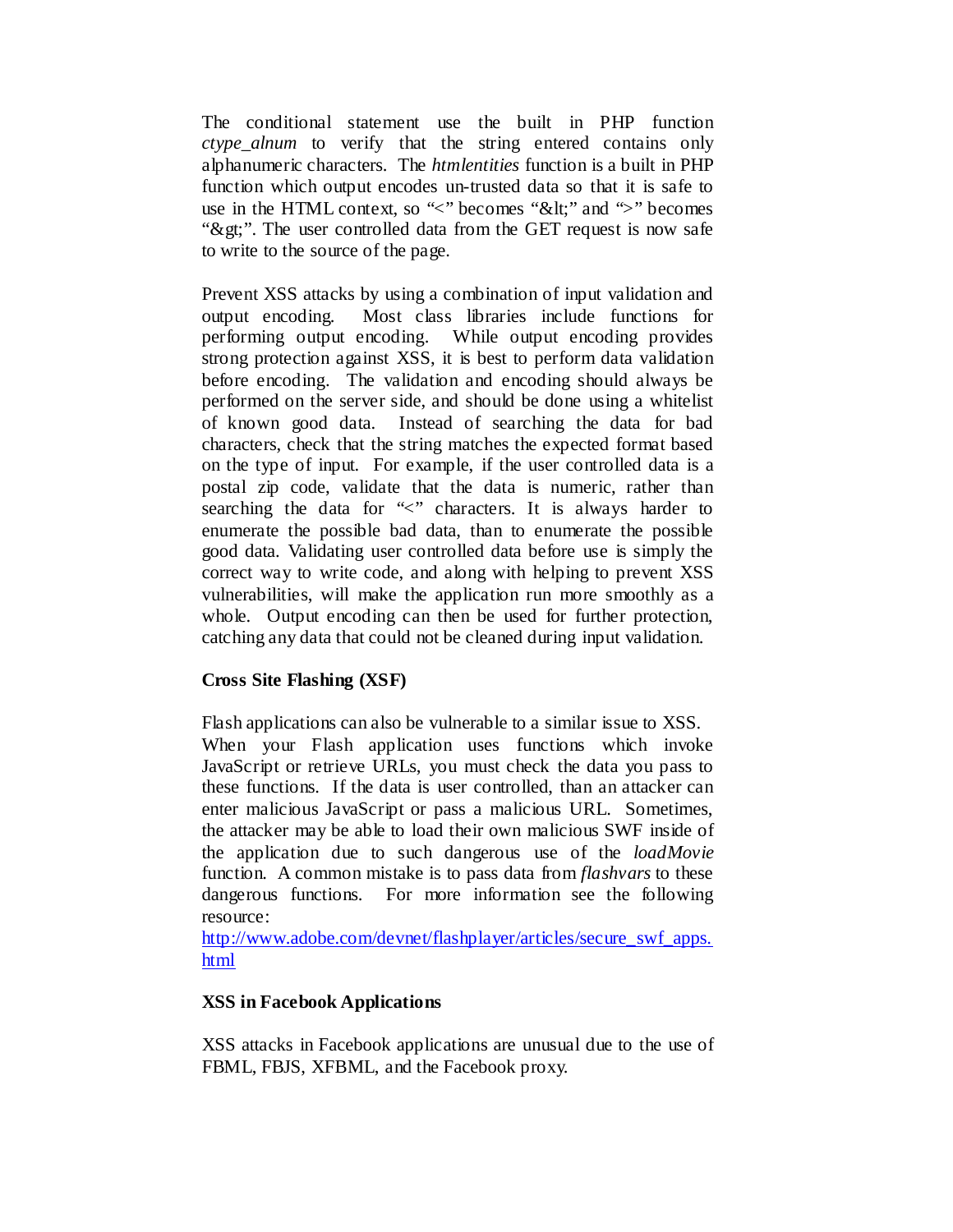The conditional statement use the built in PHP function *ctype\_alnum* to verify that the string entered contains only alphanumeric characters. The *htmlentities* function is a built in PHP function which output encodes un-trusted data so that it is safe to use in the HTML context, so " $\lt$ " becomes "&It;" and " $>$ " becomes ">". The user controlled data from the GET request is now safe to write to the source of the page.

Prevent XSS attacks by using a combination of input validation and output encoding. Most class libraries include functions for performing output encoding. While output encoding provides strong protection against XSS, it is best to perform data validation before encoding. The validation and encoding should always be performed on the server side, and should be done using a whitelist of known good data. Instead of searching the data for bad characters, check that the string matches the expected format based on the type of input. For example, if the user controlled data is a postal zip code, validate that the data is numeric, rather than searching the data for "<" characters. It is always harder to enumerate the possible bad data, than to enumerate the possible good data. Validating user controlled data before use is simply the correct way to write code, and along with helping to prevent XSS vulnerabilities, will make the application run more smoothly as a whole. Output encoding can then be used for further protection, catching any data that could not be cleaned during input validation.

## **Cross Site Flashing (XSF)**

Flash applications can also be vulnerable to a similar issue to XSS. When your Flash application uses functions which invoke JavaScript or retrieve URLs, you must check the data you pass to these functions. If the data is user controlled, than an attacker can enter malicious JavaScript or pass a malicious URL. Sometimes, the attacker may be able to load their own malicious SWF inside of the application due to such dangerous use of the *loadMovie* function. A common mistake is to pass data from *flashvars* to these dangerous functions. For more information see the following resource:

[http://www.adobe.com/devnet/flashplayer/articles/secure\\_swf\\_apps.](http://www.adobe.com/devnet/flashplayer/articles/secure_swf_apps.html) [html](http://www.adobe.com/devnet/flashplayer/articles/secure_swf_apps.html)

#### **XSS in Facebook Applications**

XSS attacks in Facebook applications are unusual due to the use of FBML, FBJS, XFBML, and the Facebook proxy.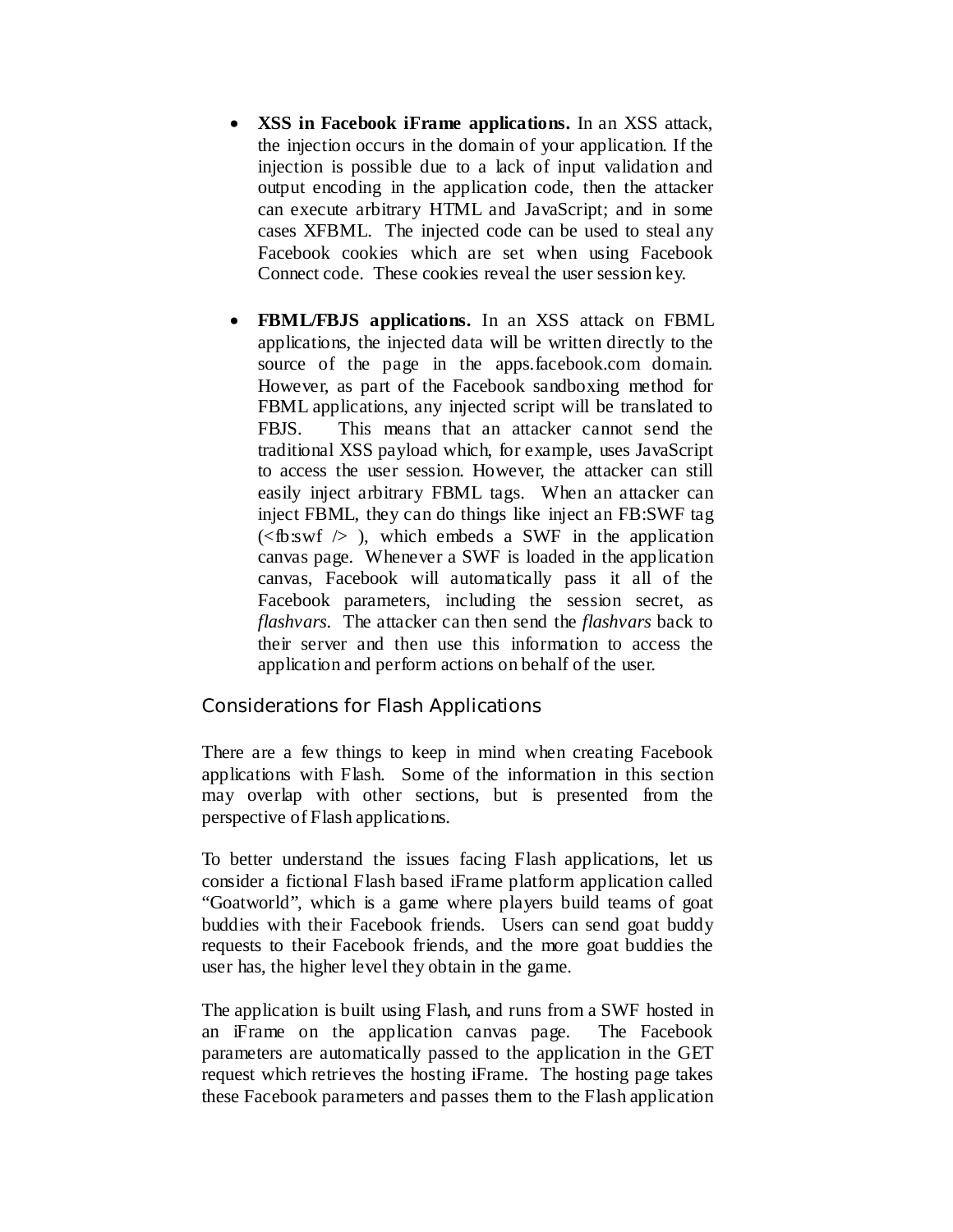- **XSS in Facebook iFrame applications.** In an XSS attack, the injection occurs in the domain of your application. If the injection is possible due to a lack of input validation and output encoding in the application code, then the attacker can execute arbitrary HTML and JavaScript; and in some cases XFBML. The injected code can be used to steal any Facebook cookies which are set when using Facebook Connect code. These cookies reveal the user session key.
- **FBML/FBJS applications.** In an XSS attack on FBML applications, the injected data will be written directly to the source of the page in the apps.facebook.com domain. However, as part of the Facebook sandboxing method for FBML applications, any injected script will be translated to FBJS. This means that an attacker cannot send the traditional XSS payload which, for example, uses JavaScript to access the user session. However, the attacker can still easily inject arbitrary FBML tags. When an attacker can inject FBML, they can do things like inject an FB:SWF tag  $\langle$  \le \starrow by \right), which embeds a SWF in the application canvas page. Whenever a SWF is loaded in the application canvas, Facebook will automatically pass it all of the Facebook parameters, including the session secret, as *flashvars*. The attacker can then send the *flashvars* back to their server and then use this information to access the application and perform actions on behalf of the user.

#### <span id="page-17-0"></span>Considerations for Flash Applications

There are a few things to keep in mind when creating Facebook applications with Flash. Some of the information in this section may overlap with other sections, but is presented from the perspective of Flash applications.

To better understand the issues facing Flash applications, let us consider a fictional Flash based iFrame platform application called "Goatworld", which is a game where players build teams of goat buddies with their Facebook friends. Users can send goat buddy requests to their Facebook friends, and the more goat buddies the user has, the higher level they obtain in the game.

The application is built using Flash, and runs from a SWF hosted in an iFrame on the application canvas page. The Facebook parameters are automatically passed to the application in the GET request which retrieves the hosting iFrame. The hosting page takes these Facebook parameters and passes them to the Flash application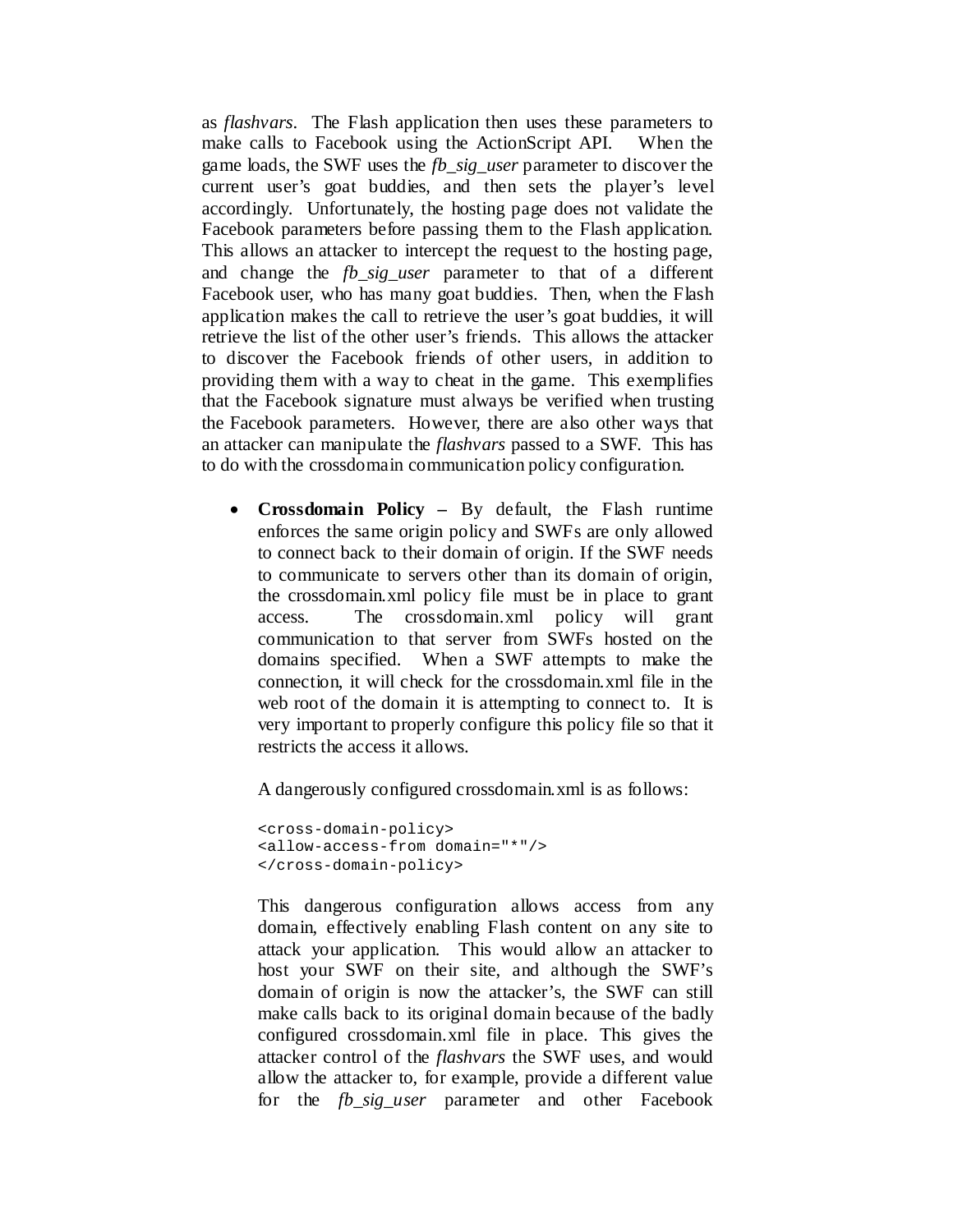as *flashvars*. The Flash application then uses these parameters to make calls to Facebook using the ActionScript API. When the game loads, the SWF uses the *fb\_sig\_user* parameter to discover the current user's goat buddies, and then sets the player's level accordingly. Unfortunately, the hosting page does not validate the Facebook parameters before passing them to the Flash application. This allows an attacker to intercept the request to the hosting page, and change the *fb\_sig\_user* parameter to that of a different Facebook user, who has many goat buddies. Then, when the Flash application makes the call to retrieve the user's goat buddies, it will retrieve the list of the other user's friends. This allows the attacker to discover the Facebook friends of other users, in addition to providing them with a way to cheat in the game. This exemplifies that the Facebook signature must always be verified when trusting the Facebook parameters. However, there are also other ways that an attacker can manipulate the *flashvars* passed to a SWF. This has to do with the crossdomain communication policy configuration.

• **Crossdomain Policy –** By default, the Flash runtime enforces the same origin policy and SWFs are only allowed to connect back to their domain of origin. If the SWF needs to communicate to servers other than its domain of origin, the crossdomain.xml policy file must be in place to grant access. The crossdomain.xml policy will grant communication to that server from SWFs hosted on the domains specified. When a SWF attempts to make the connection, it will check for the crossdomain.xml file in the web root of the domain it is attempting to connect to. It is very important to properly configure this policy file so that it restricts the access it allows.

A dangerously configured crossdomain.xml is as follows:

```
<cross-domain-policy>
<allow-access-from domain="*"/>
</cross-domain-policy>
```
This dangerous configuration allows access from any domain, effectively enabling Flash content on any site to attack your application. This would allow an attacker to host your SWF on their site, and although the SWF's domain of origin is now the attacker's, the SWF can still make calls back to its original domain because of the badly configured crossdomain.xml file in place. This gives the attacker control of the *flashvars* the SWF uses, and would allow the attacker to, for example, provide a different value for the *fb\_sig\_user* parameter and other Facebook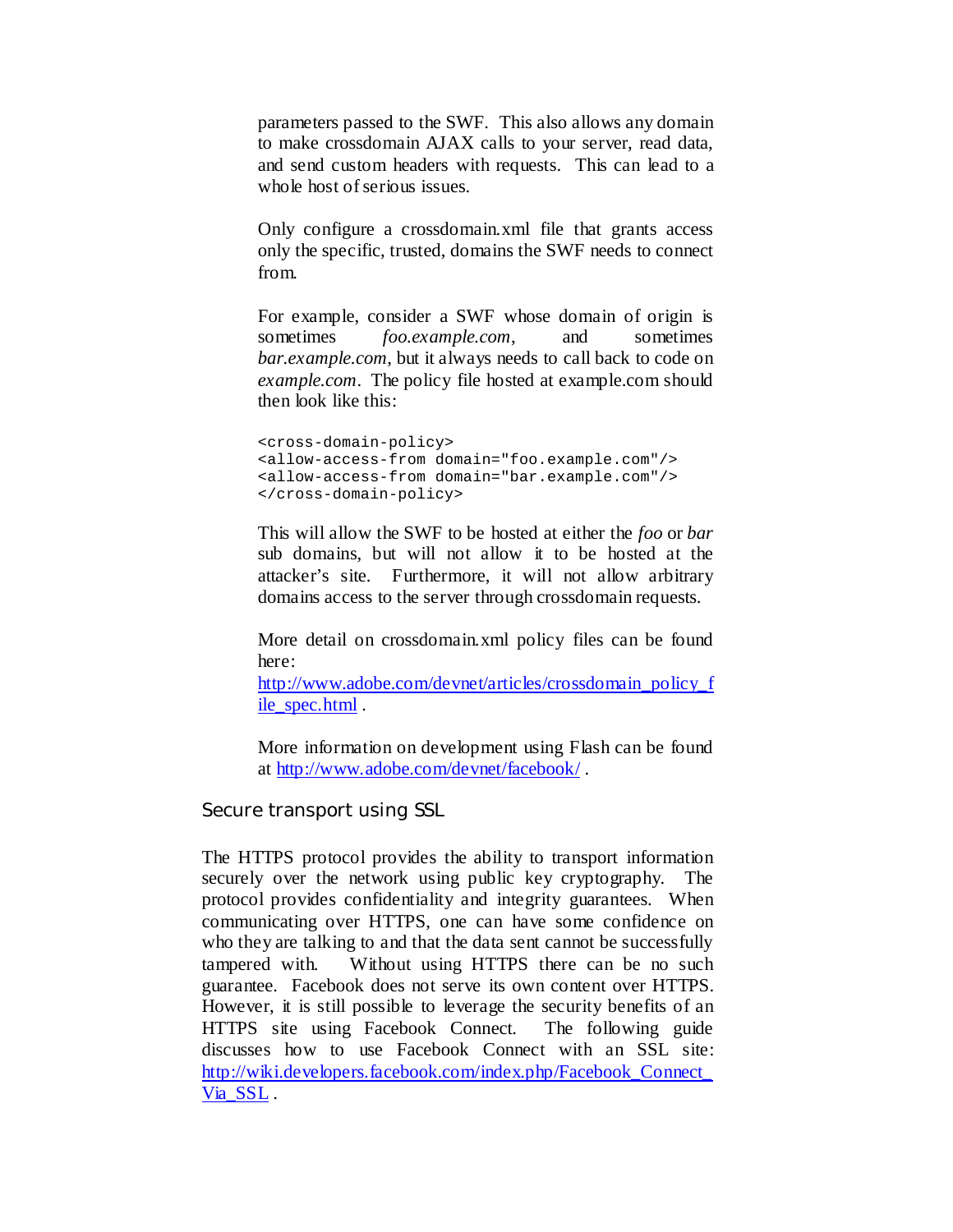parameters passed to the SWF. This also allows any domain to make crossdomain AJAX calls to your server, read data, and send custom headers with requests. This can lead to a whole host of serious issues.

Only configure a crossdomain.xml file that grants access only the specific, trusted, domains the SWF needs to connect from.

For example, consider a SWF whose domain of origin is sometimes *foo.example.com*, and sometimes *bar.example.com*, but it always needs to call back to code on *example.com*. The policy file hosted at example.com should then look like this:

<cross-domain-policy> <allow-access-from domain="foo.example.com"/> <allow-access-from domain="bar.example.com"/> </cross-domain-policy>

This will allow the SWF to be hosted at either the *foo* or *bar* sub domains, but will not allow it to be hosted at the attacker's site. Furthermore, it will not allow arbitrary domains access to the server through crossdomain requests.

More detail on crossdomain.xml policy files can be found here:

[http://www.adobe.com/devnet/articles/crossdomain\\_policy\\_f](http://www.adobe.com/devnet/articles/crossdomain_policy_file_spec.html) [ile\\_spec.html](http://www.adobe.com/devnet/articles/crossdomain_policy_file_spec.html) .

More information on development using Flash can be found at<http://www.adobe.com/devnet/facebook/> .

<span id="page-19-0"></span>Secure transport using SSL

The HTTPS protocol provides the ability to transport information securely over the network using public key cryptography. The protocol provides confidentiality and integrity guarantees. When communicating over HTTPS, one can have some confidence on who they are talking to and that the data sent cannot be successfully tampered with. Without using HTTPS there can be no such guarantee. Facebook does not serve its own content over HTTPS. However, it is still possible to leverage the security benefits of an HTTPS site using Facebook Connect. The following guide discusses how to use Facebook Connect with an SSL site: [http://wiki.developers.facebook.com/index.php/Facebook\\_Connect\\_](http://wiki.developers.facebook.com/index.php/Facebook_Connect_Via_SSL) [Via\\_SSL](http://wiki.developers.facebook.com/index.php/Facebook_Connect_Via_SSL) .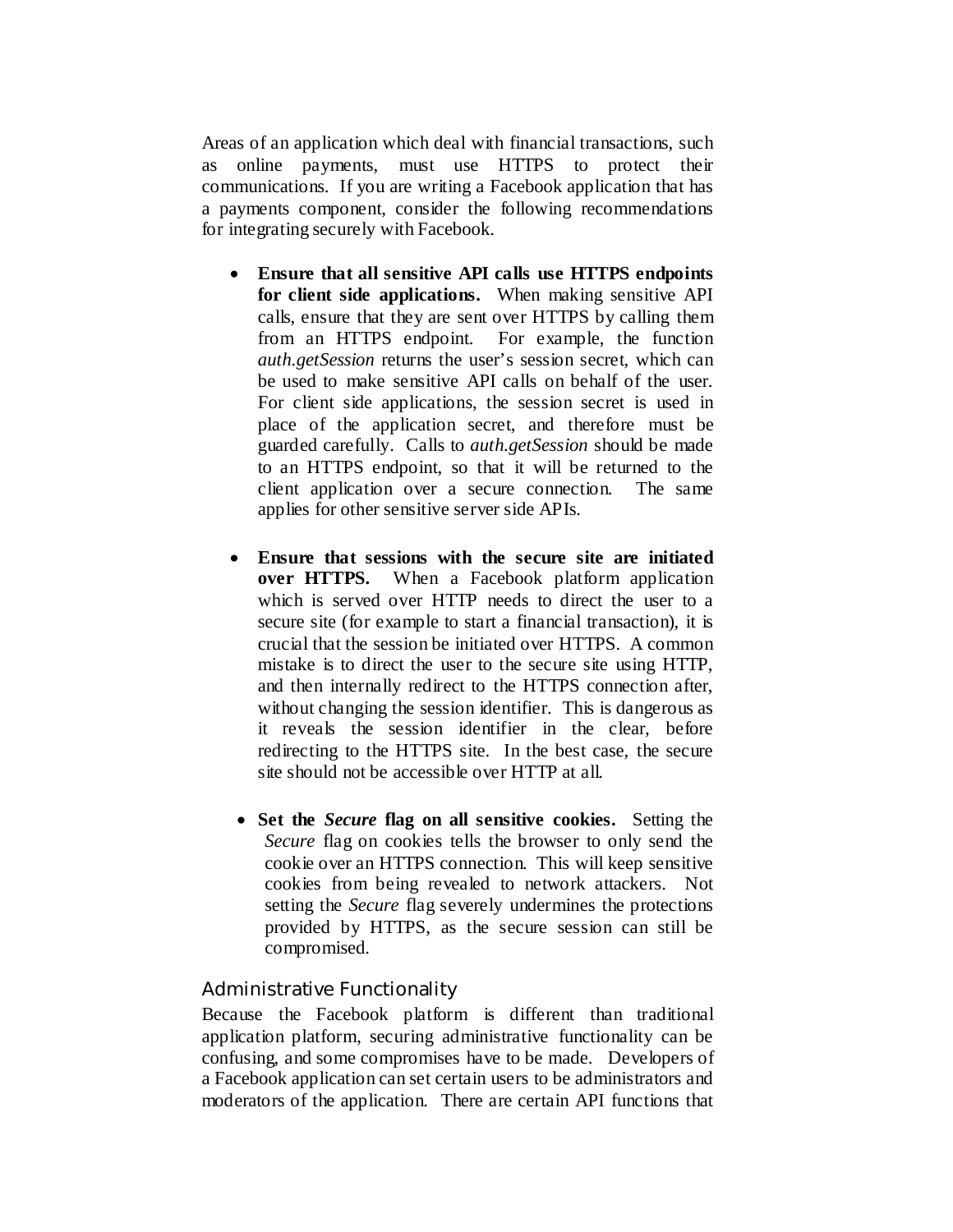Areas of an application which deal with financial transactions, such as online payments, must use HTTPS to protect their communications. If you are writing a Facebook application that has a payments component, consider the following recommendations for integrating securely with Facebook.

- **Ensure that all sensitive API calls use HTTPS endpoints for client side applications.** When making sensitive API calls, ensure that they are sent over HTTPS by calling them from an HTTPS endpoint. For example, the function *auth.getSession* returns the user's session secret, which can be used to make sensitive API calls on behalf of the user. For client side applications, the session secret is used in place of the application secret, and therefore must be guarded carefully. Calls to *auth.getSession* should be made to an HTTPS endpoint, so that it will be returned to the client application over a secure connection. The same applies for other sensitive server side APIs.
- **Ensure that sessions with the secure site are initiated over HTTPS.** When a Facebook platform application which is served over HTTP needs to direct the user to a secure site (for example to start a financial transaction), it is crucial that the session be initiated over HTTPS. A common mistake is to direct the user to the secure site using HTTP, and then internally redirect to the HTTPS connection after, without changing the session identifier. This is dangerous as it reveals the session identifier in the clear, before redirecting to the HTTPS site. In the best case, the secure site should not be accessible over HTTP at all.
- **Set the** *Secure* **flag on all sensitive cookies.** Setting the *Secure* flag on cookies tells the browser to only send the cookie over an HTTPS connection. This will keep sensitive cookies from being revealed to network attackers. Not setting the *Secure* flag severely undermines the protections provided by HTTPS, as the secure session can still be compromised.

#### <span id="page-20-0"></span>Administrative Functionality

Because the Facebook platform is different than traditional application platform, securing administrative functionality can be confusing, and some compromises have to be made. Developers of a Facebook application can set certain users to be administrators and moderators of the application. There are certain API functions that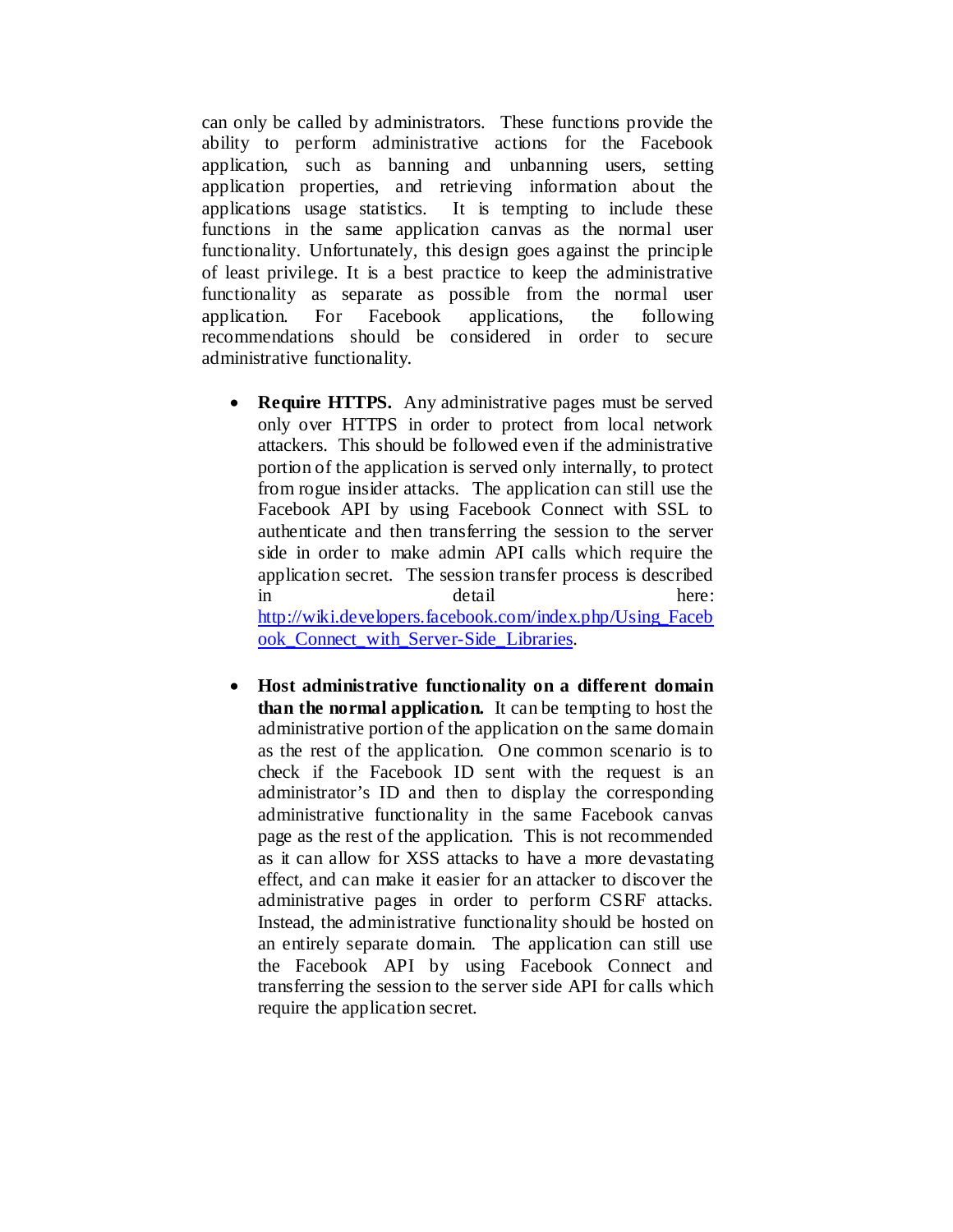can only be called by administrators. These functions provide the ability to perform administrative actions for the Facebook application, such as banning and unbanning users, setting application properties, and retrieving information about the applications usage statistics. It is tempting to include these functions in the same application canvas as the normal user functionality. Unfortunately, this design goes against the principle of least privilege. It is a best practice to keep the administrative functionality as separate as possible from the normal user application. For Facebook applications, the following recommendations should be considered in order to secure administrative functionality.

- **Require HTTPS.** Any administrative pages must be served only over HTTPS in order to protect from local network attackers. This should be followed even if the administrative portion of the application is served only internally, to protect from rogue insider attacks. The application can still use the Facebook API by using Facebook Connect with SSL to authenticate and then transferring the session to the server side in order to make admin API calls which require the application secret. The session transfer process is described in detail here: [http://wiki.developers.facebook.com/index.php/Using\\_Faceb](http://wiki.developers.facebook.com/index.php/Using_Facebook_Connect_with_Server-Side_Libraries) ook Connect with Server-Side Libraries.
- **Host administrative functionality on a different domain than the normal application.** It can be tempting to host the administrative portion of the application on the same domain as the rest of the application. One common scenario is to check if the Facebook ID sent with the request is an administrator's ID and then to display the corresponding administrative functionality in the same Facebook canvas page as the rest of the application. This is not recommended as it can allow for XSS attacks to have a more devastating effect, and can make it easier for an attacker to discover the administrative pages in order to perform CSRF attacks. Instead, the administrative functionality should be hosted on an entirely separate domain. The application can still use the Facebook API by using Facebook Connect and transferring the session to the server side API for calls which require the application secret.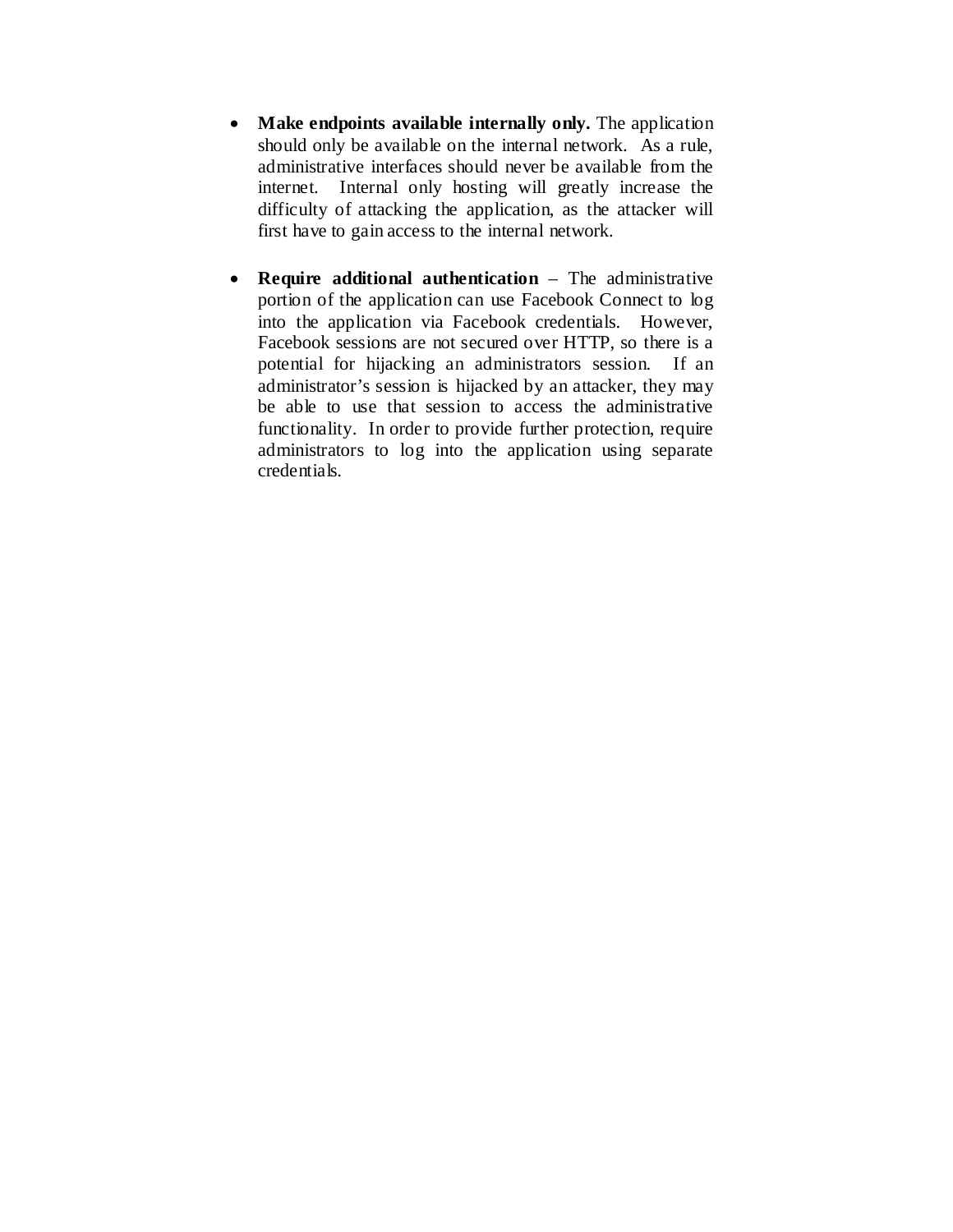- **Make endpoints available internally only.** The application should only be available on the internal network. As a rule, administrative interfaces should never be available from the internet. Internal only hosting will greatly increase the difficulty of attacking the application, as the attacker will first have to gain access to the internal network.
- **Require additional authentication** The administrative portion of the application can use Facebook Connect to log into the application via Facebook credentials. However, Facebook sessions are not secured over HTTP, so there is a potential for hijacking an administrators session. If an administrator's session is hijacked by an attacker, they may be able to use that session to access the administrative functionality. In order to provide further protection, require administrators to log into the application using separate credentials.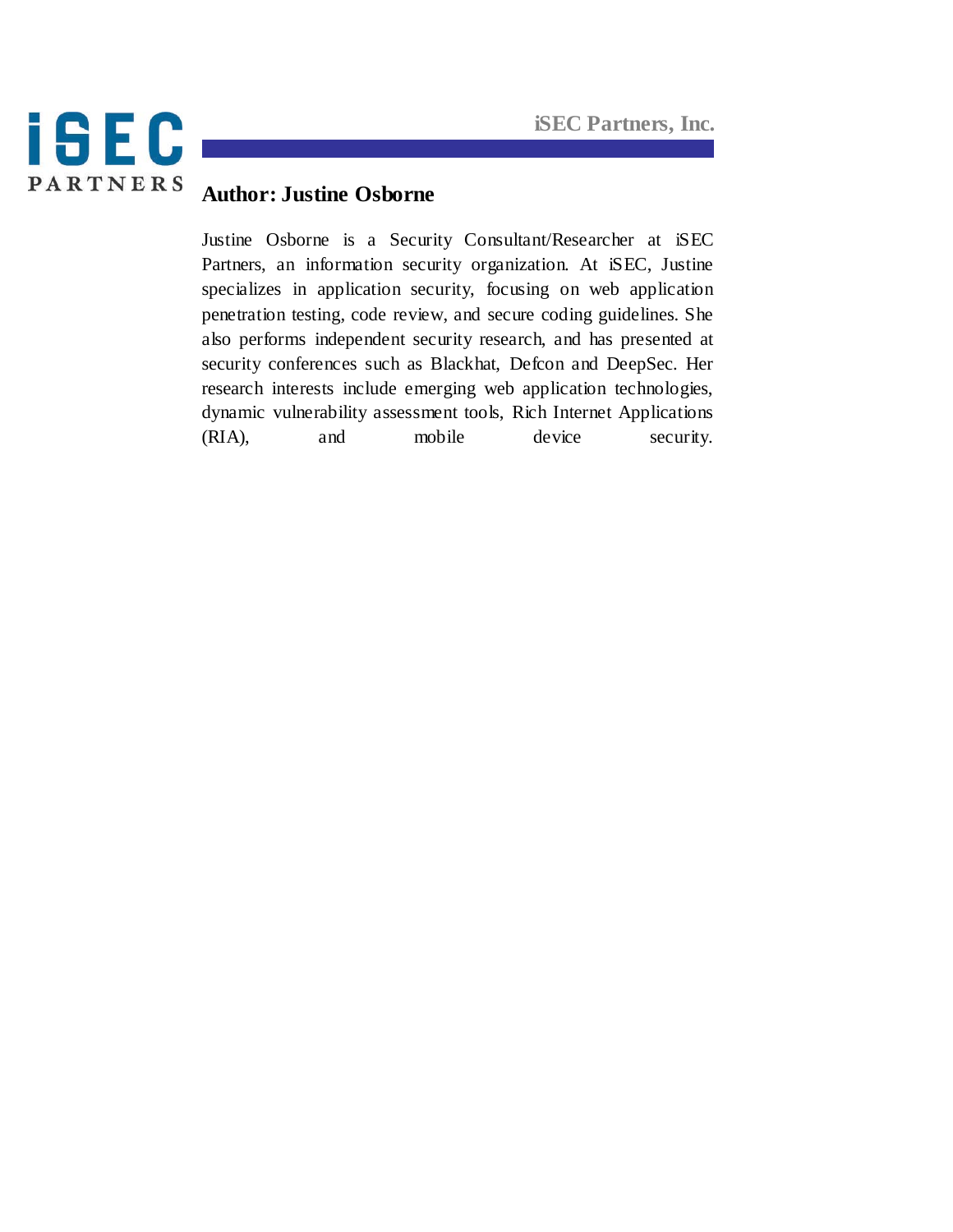

# **Author: Justine Osborne**

Justine Osborne is a Security Consultant/Researcher at iSEC Partners, an information security organization. At iSEC, Justine specializes in application security, focusing on web application penetration testing, code review, and secure coding guidelines. She also performs independent security research, and has presented at security conferences such as Blackhat, Defcon and DeepSec. Her research interests include emerging web application technologies, dynamic vulnerability assessment tools, Rich Internet Applications (RIA), and mobile device security.